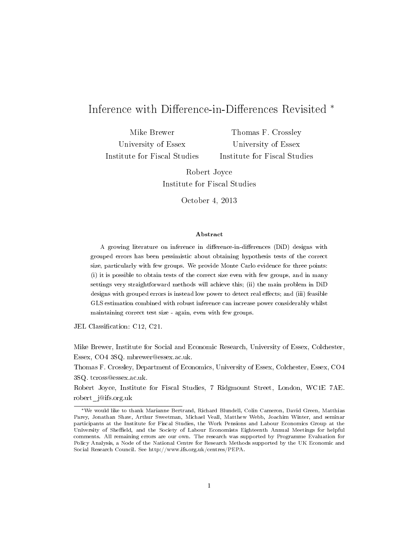# Inference with Difference-in-Differences Revisited <sup>\*</sup>

Mike Brewer University of Essex Institute for Fiscal Studies

Thomas F. Crossley University of Essex Institute for Fiscal Studies

Robert Joyce Institute for Fiscal Studies

October 4, 2013

### Abstract

A growing literature on inference in difference-in-differences (DiD) designs with grouped errors has been pessimistic about obtaining hypothesis tests of the correct size, particularly with few groups. We provide Monte Carlo evidence for three points: (i) it is possible to obtain tests of the correct size even with few groups, and in many settings very straightforward methods will achieve this; (ii) the main problem in DiD designs with grouped errors is instead low power to detect real effects; and (iii) feasible GLS estimation combined with robust inference can increase power considerably whilst maintaining correct test size - again, even with few groups.

JEL Classification: C12, C21.

Mike Brewer, Institute for Social and Economic Research, University of Essex, Colchester, Essex, CO4 3SQ. mbrewer@essex.ac.uk.

Thomas F. Crossley, Department of Economics, University of Essex, Colchester, Essex, CO4 3SQ. tcross@essex.ac.uk.

Robert Joyce, Institute for Fiscal Studies, 7 Ridgmount Street, London, WC1E 7AE. robert\_j@ifs.org.uk

<sup>∗</sup>We would like to thank Marianne Bertrand, Richard Blundell, Colin Cameron, David Green, Matthias Parey, Jonathan Shaw, Arthur Sweetman, Michael Veall, Matthew Webb, Joachim Winter, and seminar participants at the Institute for Fiscal Studies, the Work Pensions and Labour Economics Group at the University of Sheffield, and the Society of Labour Economists Eighteenth Annual Meetings for helpful comments. All remaining errors are our own. The research was supported by Programme Evaluation for Policy Analysis, a Node of the National Centre for Research Methods supported by the UK Economic and Social Research Council. See http://www.ifs.org.uk/centres/PEPA.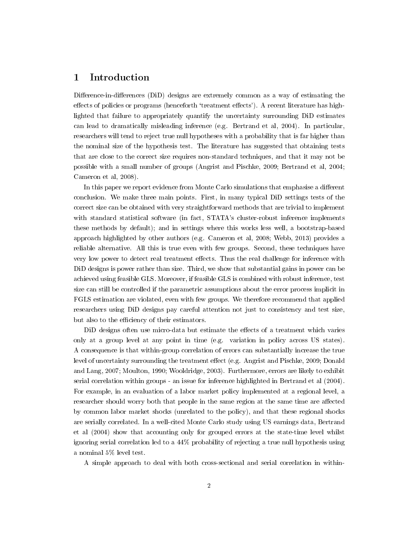# 1 Introduction

Difference-in-differences (DiD) designs are extremely common as a way of estimating the effects of policies or programs (henceforth 'treatment effects'). A recent literature has highlighted that failure to appropriately quantify the uncertainty surrounding DiD estimates can lead to dramatically misleading inference (e.g. Bertrand et al, 2004). In particular, researchers will tend to reject true null hypotheses with a probability that is far higher than the nominal size of the hypothesis test. The literature has suggested that obtaining tests that are close to the correct size requires non-standard techniques, and that it may not be possible with a small number of groups (Angrist and Pischke, 2009; Bertrand et al, 2004; Cameron et al, 2008).

In this paper we report evidence from Monte Carlo simulations that emphasise a different conclusion. We make three main points. First, in many typical DiD settings tests of the correct size can be obtained with very straightforward methods that are trivial to implement with standard statistical software (in fact, STATA's cluster-robust inference implements these methods by default); and in settings where this works less well, a bootstrap-based approach highlighted by other authors (e.g. Cameron et al, 2008; Webb, 2013) provides a reliable alternative. All this is true even with few groups. Second, these techniques have very low power to detect real treatment effects. Thus the real challenge for inference with DiD designs is power rather than size. Third, we show that substantial gains in power can be achieved using feasible GLS. Moreover, if feasible GLS is combined with robust inference, test size can still be controlled if the parametric assumptions about the error process implicit in FGLS estimation are violated, even with few groups. We therefore recommend that applied researchers using DiD designs pay careful attention not just to consistency and test size, but also to the efficiency of their estimators.

DiD designs often use micro-data but estimate the effects of a treatment which varies only at a group level at any point in time (e.g. variation in policy across US states). A consequence is that within-group correlation of errors can substantially increase the true level of uncertainty surrounding the treatment effect (e.g. Angrist and Pischke, 2009; Donald and Lang, 2007; Moulton, 1990; Wooldridge, 2003). Furthermore, errors are likely to exhibit serial correlation within groups - an issue for inference highlighted in Bertrand et al (2004). For example, in an evaluation of a labor market policy implemented at a regional level, a researcher should worry both that people in the same region at the same time are affected by common labor market shocks (unrelated to the policy), and that these regional shocks are serially correlated. In a well-cited Monte Carlo study using US earnings data, Bertrand et al (2004) show that accounting only for grouped errors at the state-time level whilst ignoring serial correlation led to a 44% probability of rejecting a true null hypothesis using a nominal 5% level test.

A simple approach to deal with both cross-sectional and serial correlation in within-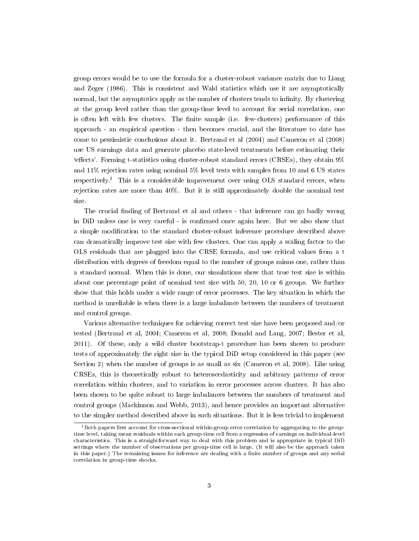group errors would be to use the formula for a cluster-robust variance matrix due to Liang and Zeger (1986). This is consistent and Wald statistics which use it are asymptotically normal, but the asymptotics apply as the number of clusters tends to infinity. By clustering at the group level rather than the group-time level to account for serial correlation, one is often left with few clusters. The finite sample (i.e. few-clusters) performance of this approach - an empirical question - then becomes crucial, and the literature to date has come to pessimistic conclusions about it. Bertrand et al (2004) and Cameron et al (2008) use US earnings data and generate placebo state-level treatments before estimating their  $\text{``effects'.}$  Forming t-statistics using cluster-robust standard errors (CRSEs), they obtain  $9\%$ and 11% rejection rates using nominal 5% level tests with samples from 10 and 6 US states respectively.<sup>1</sup> This is a considerable improvement over using OLS standard errors, when rejection rates are more than 40%. But it is still approximately double the nominal test size.

The crucial finding of Bertrand et al and others - that inference can go badly wrong in DiD unless one is very careful - is confirmed once again here. But we also show that a simple modification to the standard cluster-robust inference procedure described above can dramatically improve test size with few clusters. One can apply a scaling factor to the OLS residuals that are plugged into the CRSE formula, and use critical values from a t distribution with degrees of freedom equal to the number of groups minus one, rather than a standard normal. When this is done, our simulations show that true test size is within about one percentage point of nominal test size with 50, 20, 10 or 6 groups. We further show that this holds under a wide range of error processes. The key situation in which the method is unreliable is when there is a large imbalance between the numbers of treatment and control groups.

Various alternative techniques for achieving correct test size have been proposed and/or tested (Bertrand et al, 2004; Cameron et al, 2008; Donald and Lang, 2007; Bester et al, 2011). Of these, only a wild cluster bootstrap-t procedure has been shown to produce tests of approximately the right size in the typical DiD setup considered in this paper (see Section 2) when the number of groups is as small as six (Cameron et al, 2008). Like using CRSEs, this is theoretically robust to heteroscedasticity and arbitrary patterns of error correlation within clusters, and to variation in error processes across clusters. It has also been shown to be quite robust to large imbalances between the numbers of treatment and control groups (Mackinnon and Webb, 2013), and hence provides an important alternative to the simpler method described above in such situations. But it is less trivial to implement

 $1B$ oth papers first account for cross-sectional within-group error correlation by aggregating to the grouptime level, taking mean residuals within each group-time cell from a regression of earnings on individual-level characteristics. This is a straightforward way to deal with this problem and is appropriate in typical DiD settings where the number of observations per group-time cell is large. (It will also be the approach taken in this paper.) The remaining issues for inference are dealing with a finite number of groups and any serial correlation in group-time shocks.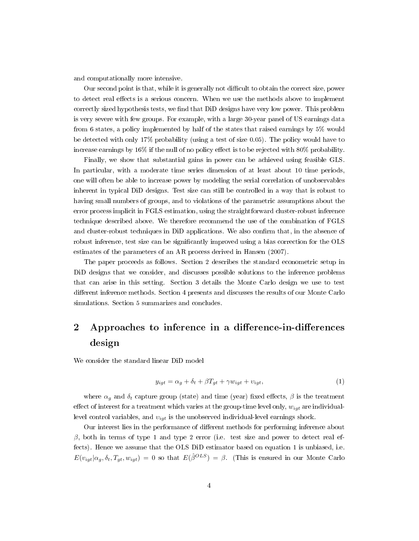and computationally more intensive.

Our second point is that, while it is generally not difficult to obtain the correct size, power to detect real effects is a serious concern. When we use the methods above to implement correctly sized hypothesis tests, we find that DiD designs have very low power. This problem is very severe with few groups. For example, with a large 30-year panel of US earnings data from 6 states, a policy implemented by half of the states that raised earnings by 5% would be detected with only 17% probability (using a test of size 0.05). The policy would have to increase earnings by  $16\%$  if the null of no policy effect is to be rejected with  $80\%$  probability.

Finally, we show that substantial gains in power can be achieved using feasible GLS. In particular, with a moderate time series dimension of at least about 10 time periods, one will often be able to increase power by modeling the serial correlation of unobservables inherent in typical DiD designs. Test size can still be controlled in a way that is robust to having small numbers of groups, and to violations of the parametric assumptions about the error process implicit in FGLS estimation, using the straightforward cluster-robust inference technique described above. We therefore recommend the use of the combination of FGLS and cluster-robust techniques in DiD applications. We also confirm that, in the absence of robust inference, test size can be significantly improved using a bias correction for the OLS estimates of the parameters of an AR process derived in Hansen (2007).

The paper proceeds as follows. Section 2 describes the standard econometric setup in DiD designs that we consider, and discusses possible solutions to the inference problems that can arise in this setting. Section 3 details the Monte Carlo design we use to test different inference methods. Section 4 presents and discusses the results of our Monte Carlo simulations. Section 5 summarizes and concludes.

# 2 Approaches to inference in a difference-in-differences design

We consider the standard linear DiD model

$$
y_{igt} = \alpha_g + \delta_t + \beta T_{gt} + \gamma w_{igt} + v_{igt},\tag{1}
$$

where  $\alpha_g$  and  $\delta_t$  capture group (state) and time (year) fixed effects,  $\beta$  is the treatment effect of interest for a treatment which varies at the group-time level only,  $w_{igt}$  are individuallevel control variables, and  $v_{igt}$  is the unobserved individual-level earnings shock.

Our interest lies in the performance of different methods for performing inference about  $β$ , both in terms of type 1 and type 2 error (i.e. test size and power to detect real effects). Hence we assume that the OLS DiD estimator based on equation 1 is unbiased, i.e.  $E(v_{igt}|\alpha_g, \delta_t, T_{gt}, w_{igt}) = 0$  so that  $E(\hat{\beta}^{OLS}) = \beta$ . (This is ensured in our Monte Carlo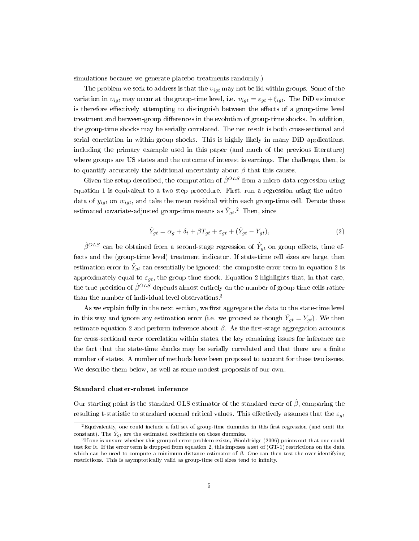simulations because we generate placebo treatments randomly.)

The problem we seek to address is that the  $v_{igt}$  may not be iid within groups. Some of the variation in  $v_{igt}$  may occur at the group-time level, i.e.  $v_{igt} = \varepsilon_{gt} + \xi_{igt}$ . The DiD estimator is therefore effectively attempting to distinguish between the effects of a group-time level treatment and between-group differences in the evolution of group-time shocks. In addition, the group-time shocks may be serially correlated. The net result is both cross-sectional and serial correlation in within-group shocks. This is highly likely in many DiD applications, including the primary example used in this paper (and much of the previous literature) where groups are US states and the outcome of interest is earnings. The challenge, then, is to quantify accurately the additional uncertainty about  $\beta$  that this causes.

Given the setup described, the computation of  $\hat{\beta}^{OLS}$  from a micro-data regression using equation 1 is equivalent to a two-step procedure. First, run a regression using the microdata of  $y_{iqt}$  on  $w_{iqt}$ , and take the mean residual within each group-time cell. Denote these estimated covariate-adjusted group-time means as  $\hat{Y}_{gt}.^2$  Then, since

$$
\hat{Y}_{gt} = \alpha_g + \delta_t + \beta T_{gt} + \varepsilon_{gt} + (\hat{Y}_{gt} - Y_{gt}),\tag{2}
$$

 $\hat{\beta}^{OLS}$  can be obtained from a second-stage regression of  $\hat{Y}_{gt}$  on group effects, time effects and the (group-time level) treatment indicator. If state-time cell sizes are large, then estimation error in  $\hat{Y}_{gt}$  can essentially be ignored: the composite error term in equation 2 is approximately equal to  $\varepsilon_{gt}$ , the group-time shock. Equation 2 highlights that, in that case, the true precision of  $\hat{\beta}^{OLS}$  depends almost entirely on the number of group-time cells rather than the number of individual-level observations.<sup>3</sup>

As we explain fully in the next section, we first aggregate the data to the state-time level in this way and ignore any estimation error (i.e. we proceed as though  $\hat{Y}_{gt} = Y_{gt}$ ). We then estimate equation 2 and perform inference about  $\beta$ . As the first-stage aggregation accounts for cross-sectional error correlation within states, the key remaining issues for inference are the fact that the state-time shocks may be serially correlated and that there are a finite number of states. A number of methods have been proposed to account for these two issues. We describe them below, as well as some modest proposals of our own.

#### Standard cluster-robust inference

Our starting point is the standard OLS estimator of the standard error of  $\hat{\beta}$ , comparing the resulting t-statistic to standard normal critical values. This effectively assumes that the  $\varepsilon_{at}$ 

 ${}^{2}$ Equivalently, one could include a full set of group-time dummies in this first regression (and omit the constant). The  $\hat{Y}_{gt}$  are the estimated coefficients on those dummies.

<sup>3</sup> If one is unsure whether this grouped error problem exists, Wooldridge (2006) points out that one could test for it. If the error term is dropped from equation 2, this imposes a set of (GT-1) restrictions on the data which can be used to compute a minimum distance estimator of  $\beta$ . One can then test the over-identifying restrictions. This is asymptotically valid as group-time cell sizes tend to infinity.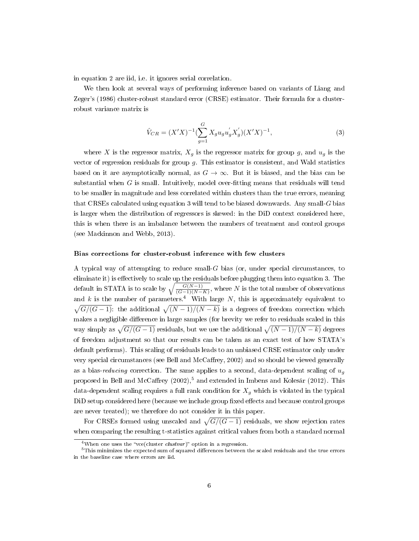in equation 2 are iid, i.e. it ignores serial correlation.

We then look at several ways of performing inference based on variants of Liang and Zeger's (1986) cluster-robust standard error (CRSE) estimator. Their formula for a clusterrobust variance matrix is

$$
\hat{V}_{CR} = (X'X)^{-1} \left(\sum_{g=1}^{G} X_g u_g u_g' X_g'\right) (X'X)^{-1},\tag{3}
$$

where X is the regressor matrix,  $X_g$  is the regressor matrix for group g, and  $u_g$  is the vector of regression residuals for group  $g$ . This estimator is consistent, and Wald statistics based on it are asymptotically normal, as  $G \rightarrow \infty$ . But it is biased, and the bias can be substantial when  $G$  is small. Intuitively, model over-fitting means that residuals will tend to be smaller in magnitude and less correlated within clusters than the true errors, meaning that CRSEs calculated using equation 3 will tend to be biased downwards. Any small-G bias is larger when the distribution of regressors is skewed: in the DiD context considered here, this is when there is an imbalance between the numbers of treatment and control groups (see Mackinnon and Webb, 2013).

#### Bias corrections for cluster-robust inference with few clusters

A typical way of attempting to reduce small-G bias (or, under special circumstances, to eliminate it) is effectively to scale up the residuals before plugging them into equation 3. The default in STATA is to scale by  $\sqrt{\frac{G(N-1)}{(G-1)(N-K)}}$ , where N is the total number of observations and k is the number of parameters.<sup>4</sup> With large N, this is approximately equivalent to  $\sqrt{G/(G-1)}$ : the additional  $\sqrt{(N-1)/(N-k)}$  is a degrees of freedom correction which makes a negligible difference in large samples (for brevity we refer to residuals scaled in this way simply as  $\sqrt{G/(G-1)}$  residuals, but we use the additional  $\sqrt{(N-1)/(N-k)}$  degrees of freedom adjustment so that our results can be taken as an exact test of how STATA's default performs). This scaling of residuals leads to an unbiased CRSE estimator only under very special circumstances (see Bell and McCaffrey, 2002) and so should be viewed generally as a bias-reducing correction. The same applies to a second, data-dependent scaling of  $u<sub>a</sub>$ proposed in Bell and McCaffrey  $(2002)$ ,<sup>5</sup> and extended in Imbens and Kolesár  $(2012)$ . This data-dependent scaling requires a full rank condition for  $X_g$  which is violated in the typical DiD setup considered here (because we include group fixed effects and because control groups are never treated); we therefore do not consider it in this paper.

For CRSEs formed using unscaled and  $\sqrt{G/(G-1)}$  residuals, we show rejection rates when comparing the resulting t-statistics against critical values from both a standard normal

<sup>&</sup>lt;sup>4</sup>When one uses the "vce(cluster *clustvar*)" option in a regression.

 $^5\rm{This}$  minimizes the expected sum of squared differences between the scaled residuals and the true errors in the baseline case where errors are iid.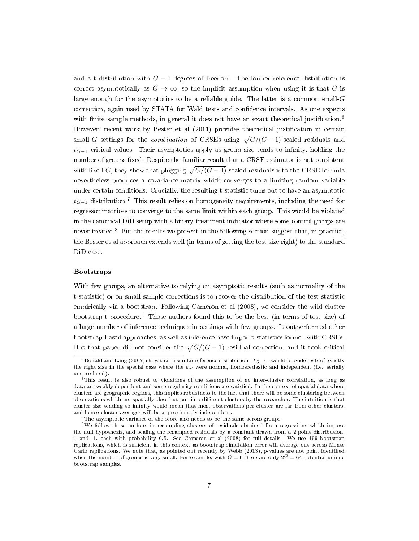and a t distribution with  $G-1$  degrees of freedom. The former reference distribution is correct asymptotically as  $G \to \infty$ , so the implicit assumption when using it is that G is large enough for the asymptotics to be a reliable guide. The latter is a common small- $G$ correction, again used by STATA for Wald tests and condence intervals. As one expects with finite sample methods, in general it does not have an exact theoretical justification.<sup>6</sup> However, recent work by Bester et al  $(2011)$  provides theoretical justification in certain small-G settings for the *combination* of CRSEs using  $\sqrt{G/(G-1)}$ -scaled residuals and  $t_{G-1}$  critical values. Their asymptotics apply as group size tends to infinity, holding the number of groups fixed. Despite the familiar result that a CRSE estimator is not consistent with fixed G, they show that plugging  $\sqrt{G/(G-1)}$ -scaled residuals into the CRSE formula nevertheless produces a covariance matrix which converges to a limiting random variable under certain conditions. Crucially, the resulting t-statistic turns out to have an asymptotic  $t_{G-1}$  distribution.<sup>7</sup> This result relies on homogeneity requirements, including the need for regressor matrices to converge to the same limit within each group. This would be violated in the canonical DiD setup with a binary treatment indicator where some control groups are never treated.<sup>8</sup> But the results we present in the following section suggest that, in practice, the Bester et al approach extends well (in terms of getting the test size right) to the standard DiD case.

#### Bootstraps

With few groups, an alternative to relying on asymptotic results (such as normality of the t-statistic) or on small sample corrections is to recover the distribution of the test statistic empirically via a bootstrap. Following Cameron et al (2008), we consider the wild cluster bootstrap-t procedure.<sup>9</sup> Those authors found this to be the best (in terms of test size) of a large number of inference techniques in settings with few groups. It outperformed other bootstrap-based approaches, as well as inference based upon t-statistics formed with CRSEs. But that paper did not consider the  $\sqrt{G/(G-1)}$  residual correction, and it took critical

 $\frac{6}{6}$ Donald and Lang (2007) show that a similar reference distribution -  $t_{G-2}$  - would provide tests of exactly the right size in the special case where the  $\varepsilon_{gt}$  were normal, homoscedastic and independent (i.e. serially uncorrelated).

 $7$ This result is also robust to violations of the assumption of no inter-cluster correlation, as long as data are weakly dependent and some regularity conditions are satisfied. In the context of spatial data where clusters are geographic regions, this implies robustness to the fact that there will be some clustering between observations which are spatially close but put into dierent clusters by the researcher. The intuition is that cluster size tending to infinity would mean that most observations per cluster are far from other clusters, and hence cluster averages will be approximately independent.

<sup>8</sup>The asymptotic variance of the score also needs to be the same across groups.

<sup>9</sup>We follow those authors in resampling clusters of residuals obtained from regressions which impose the null hypothesis, and scaling the resampled residuals by a constant drawn from a 2-point distribution: 1 and -1, each with probability 0.5. See Cameron et al (2008) for full details. We use 199 bootstrap replications, which is sufficient in this context as bootstrap simulation error will average out across Monte Carlo replications. We note that, as pointed out recently by Webb (2013), p-values are not point identied when the number of groups is very small. For example, with  $G = 6$  there are only  $2^G = 64$  potential unique bootstrap samples.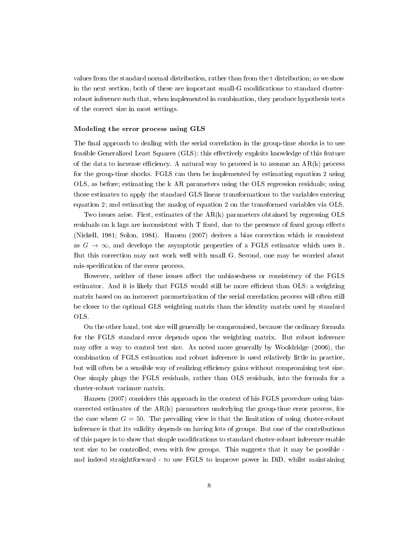values from the standard normal distribution, rather than from the t distribution; as we show in the next section, both of these are important small-G modifications to standard clusterrobust inference such that, when implemented in combination, they produce hypothesis tests of the correct size in most settings.

#### Modeling the error process using GLS

The final approach to dealing with the serial correlation in the group-time shocks is to use feasible Generalized Least Squares (GLS): this effectively exploits knowledge of this feature of the data to increase efficiency. A natural way to proceed is to assume an  $AR(k)$  process for the group-time shocks. FGLS can then be implemented by estimating equation 2 using OLS, as before; estimating the k AR parameters using the OLS regression residuals; using those estimates to apply the standard GLS linear transformations to the variables entering equation 2; and estimating the analog of equation 2 on the transformed variables via OLS.

Two issues arise. First, estimates of the  $AR(k)$  parameters obtained by regressing OLS residuals on  $k$  lags are inconsistent with  $T$  fixed, due to the presence of fixed group effects (Nickell, 1981; Solon, 1984). Hansen (2007) derives a bias correction which is consistent as  $G \to \infty$ , and develops the asymptotic properties of a FGLS estimator which uses it. But this correction may not work well with small G. Second, one may be worried about mis-specification of the error process.

However, neither of these issues affect the unbiasedness or consistency of the FGLS estimator. And it is likely that FGLS would still be more efficient than OLS: a weighting matrix based on an incorrect parametrization of the serial correlation process will often still be closer to the optimal GLS weighting matrix than the identity matrix used by standard OLS.

On the other hand, test size will generally be compromised, because the ordinary formula for the FGLS standard error depends upon the weighting matrix. But robust inference may offer a way to control test size. As noted more generally by Wooldridge (2006), the combination of FGLS estimation and robust inference is used relatively little in practice, but will often be a sensible way of realizing efficiency gains without compromising test size. One simply plugs the FGLS residuals, rather than OLS residuals, into the formula for a cluster-robust variance matrix.

Hansen (2007) considers this approach in the context of his FGLS procedure using biascorrected estimates of the  $AR(k)$  parameters underlying the group-time error process, for the case where  $G = 50$ . The prevailing view is that the limitation of using cluster-robust inference is that its validity depends on having lots of groups. But one of the contributions of this paper is to show that simple modifications to standard cluster-robust inference enable test size to be controlled, even with few groups. This suggests that it may be possible and indeed straightforward - to use FGLS to improve power in DiD, whilst maintaining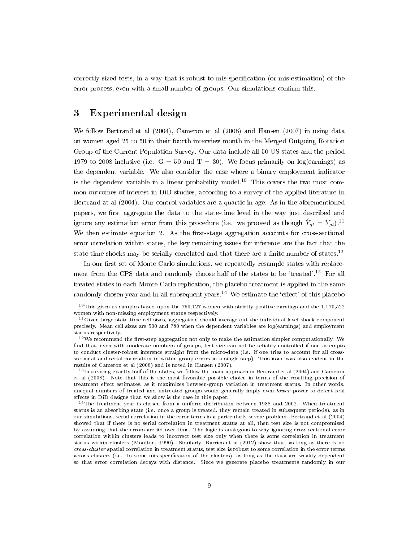correctly sized tests, in a way that is robust to mis-specification (or mis-estimation) of the error process, even with a small number of groups. Our simulations confirm this.

# 3 Experimental design

We follow Bertrand et al (2004), Cameron et al (2008) and Hansen (2007) in using data on women aged 25 to 50 in their fourth interview month in the Merged Outgoing Rotation Group of the Current Population Survey. Our data include all 50 US states and the period 1979 to 2008 inclusive (i.e.  $G = 50$  and  $T = 30$ ). We focus primarily on log(earnings) as the dependent variable. We also consider the case where a binary employment indicator is the dependent variable in a linear probability model.<sup>10</sup> This covers the two most common outcomes of interest in DiD studies, according to a survey of the applied literature in Bertrand at al (2004). Our control variables are a quartic in age. As in the aforementioned papers, we first aggregate the data to the state-time level in the way just described and ignore any estimation error from this procedure (i.e. we proceed as though  $\hat{Y}_{gt} = Y_{gt}$ ).<sup>11</sup> We then estimate equation 2. As the first-stage aggregation accounts for cross-sectional error correlation within states, the key remaining issues for inference are the fact that the state-time shocks may be serially correlated and that there are a finite number of states.<sup>12</sup>

In our first set of Monte Carlo simulations, we repeatedly resample states with replacement from the CPS data and randomly choose half of the states to be 'treated'.<sup>13</sup> For all treated states in each Monte Carlo replication, the placebo treatment is applied in the same randomly chosen year and in all subsequent years.<sup>14</sup> We estimate the 'effect' of this placebo

<sup>&</sup>lt;sup>10</sup>This gives us samples based upon the 750,127 women with strictly positive earnings and the 1,170,522 women with non-missing employment status respectively.

<sup>&</sup>lt;sup>11</sup>Given large state-time cell sizes, aggregation should average out the individual-level shock component precisely. Mean cell sizes are 500 and 780 when the dependent variables are log(earnings) and employment status respectively.

 $12$ We recommend the first-step aggregation not only to make the estimation simpler computationally. We find that, even with moderate numbers of groups, test size can not be reliably controlled if one attempts to conduct cluster-robust inference straight from the micro-data (i.e. if one tries to account for all crosssectional and serial correlation in within-group errors in a single step). This issue was also evident in the results of Cameron et al (2008) and is noted in Hansen (2007).

<sup>&</sup>lt;sup>13</sup>In treating exactly half of the states, we follow the main approach in Bertrand et al (2004) and Cameron et al (2008). Note that this is the most favorable possible choice in terms of the resulting precision of treatment effect estimates, as it maximizes between-group variation in treatment status. In other words, unequal numbers of treated and untreated groups would generally imply even lower power to detect real effects in DiD designs than we show is the case in this paper.

<sup>&</sup>lt;sup>14</sup>The treatment year is chosen from a uniform distribution between 1988 and 2002. When treatment status is an absorbing state (i.e. once a group is treated, they remain treated in subsequent periods), as in our simulations, serial correlation in the error terms is a particularly severe problem. Bertrand et al (2004) showed that if there is no serial correlation in treatment status at all, then test size is not compromised by assuming that the errors are iid over time. The logic is analogous to why ignoring cross-sectional error correlation within clusters leads to incorrect test size only when there is some correlation in treatment status within clusters (Moulton, 1990). Similarly, Barrios et al (2012) show that, as long as there is no cross-cluster spatial correlation in treatment status, test size is robust to some correlation in the error terms across clusters (i.e. to some mis-specification of the clusters), as long as the data are weakly dependent so that error correlation decays with distance. Since we generate placebo treatments randomly in our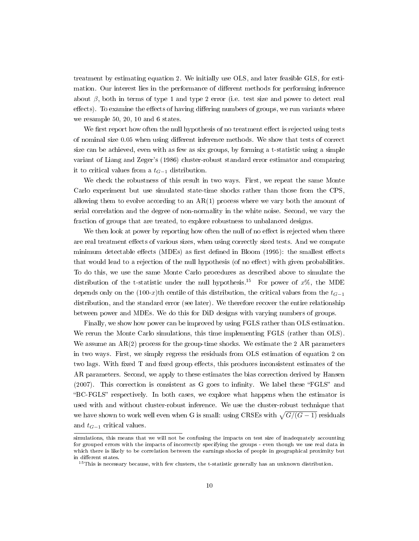treatment by estimating equation 2. We initially use OLS, and later feasible GLS, for estimation. Our interest lies in the performance of different methods for performing inference about  $\beta$ , both in terms of type 1 and type 2 error (i.e. test size and power to detect real effects). To examine the effects of having differing numbers of groups, we run variants where we resample 50, 20, 10 and 6 states.

We first report how often the null hypothesis of no treatment effect is rejected using tests of nominal size 0.05 when using different inference methods. We show that tests of correct size can be achieved, even with as few as six groups, by forming a t-statistic using a simple variant of Liang and Zeger's (1986) cluster-robust standard error estimator and comparing it to critical values from a  $t_{G-1}$  distribution.

We check the robustness of this result in two ways. First, we repeat the same Monte Carlo experiment but use simulated state-time shocks rather than those from the CPS, allowing them to evolve according to an  $AR(1)$  process where we vary both the amount of serial correlation and the degree of non-normality in the white noise. Second, we vary the fraction of groups that are treated, to explore robustness to unbalanced designs.

We then look at power by reporting how often the null of no effect is rejected when there are real treatment effects of various sizes, when using correctly sized tests. And we compute minimum detectable effects (MDEs) as first defined in Bloom (1995): the smallest effects that would lead to a rejection of the null hypothesis (of no effect) with given probabilities. To do this, we use the same Monte Carlo procedures as described above to simulate the distribution of the t-statistic under the null hypothesis.<sup>15</sup> For power of  $x\%$ , the MDE depends only on the (100-x)th centile of this distribution, the critical values from the  $t_{G-1}$ distribution, and the standard error (see later). We therefore recover the entire relationship between power and MDEs. We do this for DiD designs with varying numbers of groups.

Finally, we show how power can be improved by using FGLS rather than OLS estimation. We rerun the Monte Carlo simulations, this time implementing FGLS (rather than OLS). We assume an  $AR(2)$  process for the group-time shocks. We estimate the 2 AR parameters in two ways. First, we simply regress the residuals from OLS estimation of equation 2 on two lags. With fixed T and fixed group effects, this produces inconsistent estimates of the AR parameters. Second, we apply to these estimates the bias correction derived by Hansen  $(2007)$ . This correction is consistent as G goes to infinity. We label these "FGLS" and BC-FGLS respectively. In both cases, we explore what happens when the estimator is used with and without cluster-robust inference. We use the cluster-robust technique that we have shown to work well even when G is small: using CRSEs with  $\sqrt{G/(G-1)}$  residuals and  $t_{G-1}$  critical values.

simulations, this means that we will not be confusing the impacts on test size of inadequately accounting for grouped errors with the impacts of incorrectly specifying the groups - even though we use real data in which there is likely to be correlation between the earnings shocks of people in geographical proximity but in different states.

<sup>&</sup>lt;sup>15</sup>This is necessary because, with few clusters, the t-statistic generally has an unknown distribution.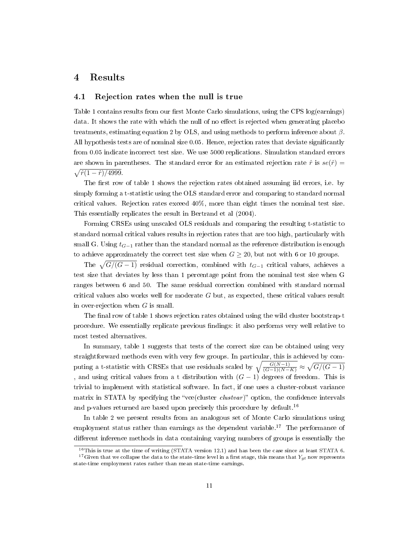# 4 Results

### 4.1 Rejection rates when the null is true

Table 1 contains results from our first Monte Carlo simulations, using the CPS log(earnings) data. It shows the rate with which the null of no effect is rejected when generating placebo treatments, estimating equation 2 by OLS, and using methods to perform inference about  $\beta$ . All hypothesis tests are of nominal size 0.05. Hence, rejection rates that deviate significantly from 0.05 indicate incorrect test size. We use 5000 replications. Simulation standard errors are shown in parentheses. The standard error for an estimated rejection rate  $\hat{r}$  is  $se(\hat{r})$  =  $\sqrt{\hat{r}(1-\hat{r})/4999}.$ 

The first row of table 1 shows the rejection rates obtained assuming iid errors, i.e. by simply forming a t-statistic using the OLS standard error and comparing to standard normal critical values. Rejection rates exceed 40%, more than eight times the nominal test size. This essentially replicates the result in Bertrand et al (2004).

Forming CRSEs using unscaled OLS residuals and comparing the resulting t-statistic to standard normal critical values results in rejection rates that are too high, particularly with small G. Using  $t_{G-1}$  rather than the standard normal as the reference distribution is enough to achieve approximately the correct test size when  $G \geq 20$ , but not with 6 or 10 groups.

The  $\sqrt{G/(G-1)}$  residual correction, combined with  $t_{G-1}$  critical values, achieves a test size that deviates by less than 1 percentage point from the nominal test size when G ranges between 6 and 50. The same residual correction combined with standard normal critical values also works well for moderate  $G$  but, as expected, these critical values result in over-rejection when  $G$  is small.

The final row of table 1 shows rejection rates obtained using the wild cluster bootstrap-t procedure. We essentially replicate previous findings: it also performs very well relative to most tested alternatives.

In summary, table 1 suggests that tests of the correct size can be obtained using very straightforward methods even with very few groups. In particular, this is achieved by computing a t-statistic with CRSEs that use residuals scaled by  $\sqrt{\frac{G(N-1)}{(G-1)(N-K)}} \approx \sqrt{G/(G-1)}$ , and using critical values from a t distribution with  $(G - 1)$  degrees of freedom. This is trivial to implement with statistical software. In fact, if one uses a cluster-robust variance matrix in STATA by specifying the "vce(cluster *clustvar*)" option, the confidence intervals and p-values returned are based upon precisely this procedure by default.<sup>16</sup>

In table 2 we present results from an analogous set of Monte Carlo simulations using employment status rather than earnings as the dependent variable.<sup>17</sup> The performance of different inference methods in data containing varying numbers of groups is essentially the

<sup>&</sup>lt;sup>16</sup>This is true at the time of writing (STATA version 12.1) and has been the case since at least STATA 6. <sup>17</sup>Given that we collapse the data to the state-time level in a first stage, this means that  $Y_{gt}$  now represents state-time employment rates rather than mean state-time earnings.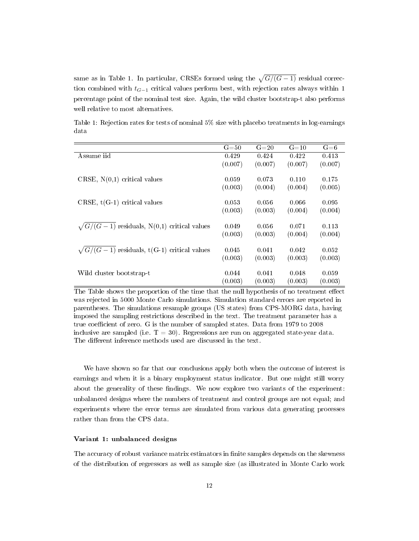same as in Table 1. In particular, CRSEs formed using the  $\sqrt{G/(G-1)}$  residual correction combined with  $t_{G-1}$  critical values perform best, with rejection rates always within 1 percentage point of the nominal test size. Again, the wild cluster bootstrap-t also performs well relative to most alternatives.

|                                                    | $G = 50$ | $G=20$  | $G = 10$ | $G = 6$ |
|----------------------------------------------------|----------|---------|----------|---------|
| Assume iid                                         | 0.429    | 0.424   | 0.422    | 0.413   |
|                                                    | (0.007)  | (0.007) | (0.007)  | (0.007) |
|                                                    |          |         |          |         |
| CRSE, $N(0,1)$ critical values                     | 0.059    | 0.073   | 0.110    | 0.175   |
|                                                    | (0.003)  | (0.004) | (0.004)  | (0.005) |
|                                                    |          | 0.056   | 0.066    | 0.095   |
| CRSE, $t(G-1)$ critical values                     | 0.053    |         |          |         |
|                                                    | (0.003)  | (0.003) | (0.004)  | (0.004) |
| $\sqrt{G/(G-1)}$ residuals, N(0,1) critical values | 0.049    | 0.056   | 0.071    | 0.113   |
|                                                    | (0.003)  | (0.003) | (0.004)  | (0.004) |
|                                                    |          |         |          |         |
| $\sqrt{G/(G-1)}$ residuals, t(G-1) critical values | 0.045    | 0.041   | 0.042    | 0.052   |
|                                                    | (0.003)  | (0.003) | (0.003)  | (0.003) |
|                                                    |          |         |          |         |
| Wild cluster bootstrap-t                           | 0.044    | 0.041   | 0.048    | 0.059   |
|                                                    | (0.003)  | (0.003) | (0.003)  | (0.003) |

Table 1: Rejection rates for tests of nominal 5% size with placebo treatments in log-earnings data

The Table shows the proportion of the time that the null hypothesis of no treatment effect was rejected in 5000 Monte Carlo simulations. Simulation standard errors are reported in parentheses. The simulations resample groups (US states) from CPS-MORG data, having imposed the sampling restrictions described in the text. The treatment parameter has a true coefficient of zero. G is the number of sampled states. Data from 1979 to 2008 inclusive are sampled (i.e.  $T = 30$ ). Regressions are run on aggregated state-year data. The different inference methods used are discussed in the text.

We have shown so far that our conclusions apply both when the outcome of interest is earnings and when it is a binary employment status indicator. But one might still worry about the generality of these findings. We now explore two variants of the experiment: unbalanced designs where the numbers of treatment and control groups are not equal; and experiments where the error terms are simulated from various data generating processes rather than from the CPS data.

## Variant 1: unbalanced designs

The accuracy of robust variance matrix estimators in finite samples depends on the skewness of the distribution of regressors as well as sample size (as illustrated in Monte Carlo work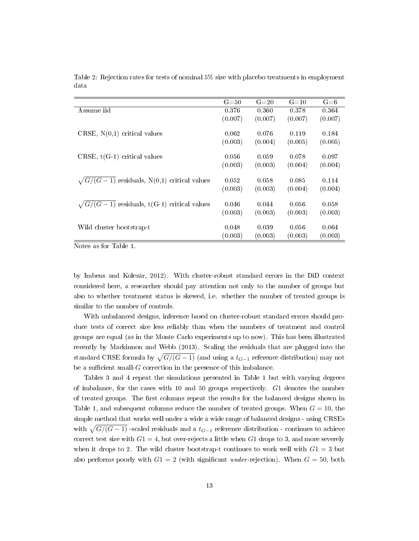|                                                    | $G = 50$ | $G = 20$ | $G = 10$ | $G = 6$ |
|----------------------------------------------------|----------|----------|----------|---------|
| Assume iid                                         | 0.376    | 0.360    | 0.378    | 0.364   |
|                                                    | (0.007)  | (0.007)  | (0.007)  | (0.007) |
|                                                    |          |          |          |         |
| CRSE, $N(0,1)$ critical values                     | 0.062    | 0.076    | 0.119    | 0.184   |
|                                                    | (0.003)  | (0.004)  | (0.005)  | (0.005) |
|                                                    |          |          |          |         |
| CRSE, $t(G-1)$ critical values                     | 0.056    | 0.059    | 0.078    | 0.097   |
|                                                    | (0.003)  | (0.003)  | (0.004)  | (0.004) |
|                                                    |          |          |          |         |
| $\sqrt{G/(G-1)}$ residuals, N(0,1) critical values | 0.052    | 0.058    | 0.085    | 0.114   |
|                                                    | (0.003)  | (0.003)  | (0.004)  | (0.004) |
|                                                    |          |          |          |         |
| $\sqrt{G/(G-1)}$ residuals, t(G-1) critical values | 0.046    | 0.044    | 0.056    | 0.058   |
|                                                    | (0.003)  | (0.003)  | (0.003)  | (0.003) |
|                                                    |          |          |          |         |
| Wild cluster bootstrap-t                           | 0.048    | 0.039    | 0.056    | 0.064   |
|                                                    | (0.003)  | (0.003)  | (0.003)  | (0.003) |
|                                                    |          |          |          |         |

Table 2: Rejection rates for tests of nominal 5% size with placebo treatments in employment data

Notes as for Table 1.

by Imbens and Kolesár, 2012). With cluster-robust standard errors in the DiD context considered here, a researcher should pay attention not only to the number of groups but also to whether treatment status is skewed, i.e. whether the number of treated groups is similar to the number of controls.

With unbalanced designs, inference based on cluster-robust standard errors should produce tests of correct size less reliably than when the numbers of treatment and control groups are equal (as in the Monte Carlo experiments up to now). This has been illustrated recently by Mackinnon and Webb (2013). Scaling the residuals that are plugged into the standard CRSE formula by  $\sqrt{G/(G-1)}$  (and using a  $t_{G-1}$  reference distribution) may not be a sufficient small- $G$  correction in the presence of this imbalance.

Tables 3 and 4 repeat the simulations presented in Table 1 but with varying degrees of imbalance, for the cases with 10 and 50 groups respectively. G1 denotes the number of treated groups. The first columns repeat the results for the balanced designs shown in Table 1, and subsequent columns reduce the number of treated groups. When  $G = 10$ , the simple method that works well under a wide a wide range of balanced designs - using CRSEs with  $\sqrt{G/(G-1)}$  -scaled residuals and a  $t_{G-1}$  reference distribution - continues to achieve correct test size with  $G1 = 4$ , but over-rejects a little when  $G1$  drops to 3, and more severely when it drops to 2. The wild cluster bootstrap-t continues to work well with  $G1 = 3$  but also performs poorly with  $G1 = 2$  (with significant under-rejection). When  $G = 50$ , both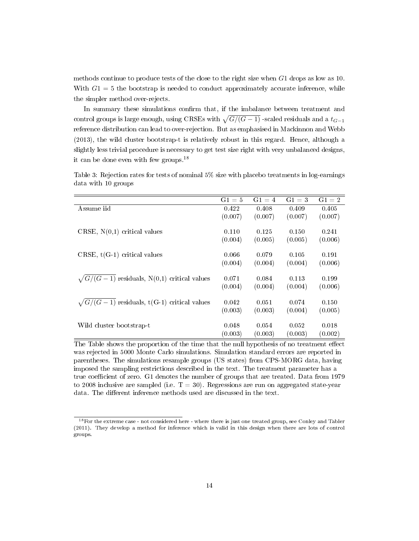methods continue to produce tests of the close to the right size when G1 drops as low as 10. With  $G1 = 5$  the bootstrap is needed to conduct approximately accurate inference, while the simpler method over-rejects.

In summary these simulations confirm that, if the imbalance between treatment and control groups is large enough, using CRSEs with  $\sqrt{G/(G-1)}$  -scaled residuals and a  $t_{G-1}$ reference distribution can lead to over-rejection. But as emphasised in Mackinnon and Webb (2013), the wild cluster bootstrap-t is relatively robust in this regard. Hence, although a slightly less trivial procedure is necessary to get test size right with very unbalanced designs, it can be done even with few groups.<sup>18</sup>

|                                                    | $G1 = 5$ | $G1 = 4$ | $G1 = 3$ | $G1 = 2$ |
|----------------------------------------------------|----------|----------|----------|----------|
| Assume iid                                         | 0.422    | 0.408    | 0.409    | 0.405    |
|                                                    | (0.007)  | (0.007)  | (0.007)  | (0.007)  |
|                                                    |          |          |          |          |
| CRSE, $N(0,1)$ critical values                     | 0.110    | 0.125    | 0.150    | 0.241    |
|                                                    | (0.004)  | (0.005)  | (0.005)  | (0.006)  |
|                                                    |          |          |          |          |
| CRSE, $t(G-1)$ critical values                     | 0.066    | 0.079    | 0.105    | 0.191    |
|                                                    | (0.004)  | (0.004)  | (0.004)  | (0.006)  |
|                                                    |          |          |          |          |
| $\sqrt{G/(G-1)}$ residuals, N(0,1) critical values | 0.071    | 0.084    | 0.113    | 0.199    |
|                                                    | (0.004)  | (0.004)  | (0.004)  | (0.006)  |
|                                                    |          |          |          |          |
| $\sqrt{G/(G-1)}$ residuals, t(G-1) critical values | 0.042    | 0.051    | 0.074    | 0.150    |
|                                                    | (0.003)  | (0.003)  | (0.004)  | (0.005)  |
|                                                    |          |          |          |          |
| Wild cluster bootstrap-t                           | 0.048    | 0.054    | 0.052    | 0.018    |
|                                                    | (0.003)  | (0.003)  | (0.003)  | (0.002)  |

Table 3: Rejection rates for tests of nominal 5% size with placebo treatments in log-earnings data with 10 groups

The Table shows the proportion of the time that the null hypothesis of no treatment effect was rejected in 5000 Monte Carlo simulations. Simulation standard errors are reported in parentheses. The simulations resample groups (US states) from CPS-MORG data, having imposed the sampling restrictions described in the text. The treatment parameter has a true coefficient of zero. G1 denotes the number of groups that are treated. Data from 1979 to 2008 inclusive are sampled (i.e.  $T = 30$ ). Regressions are run on aggregated state-year data. The different inference methods used are discussed in the text.

<sup>&</sup>lt;sup>18</sup> For the extreme case - not considered here - where there is just one treated group, see Conley and Tabler (2011). They develop a method for inference which is valid in this design when there are lots of control groups.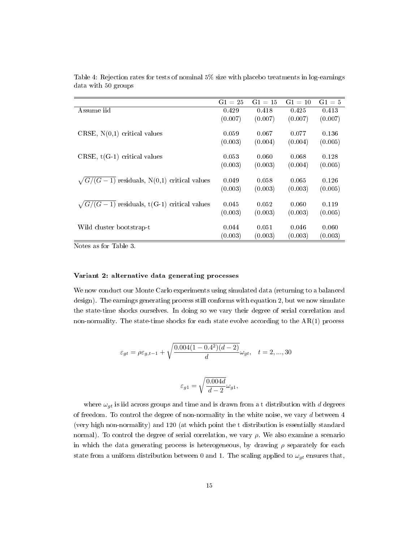|                                                    | $G1 = 25$ | $G1 = 15$ | $G1 = 10$ | $G1 = 5$ |
|----------------------------------------------------|-----------|-----------|-----------|----------|
| Assume iid                                         | 0.429     | 0.418     | 0.425     | 0.413    |
|                                                    | (0.007)   | (0.007)   | (0.007)   | (0.007)  |
|                                                    |           |           |           |          |
| CRSE, $N(0,1)$ critical values                     | 0.059     | 0.067     | 0.077     | 0.136    |
|                                                    | (0.003)   | (0.004)   | (0.004)   | (0.005)  |
| CRSE, $t(G-1)$ critical values                     | 0.053     | 0.060     | 0.068     | 0.128    |
|                                                    | (0.003)   | (0.003)   | (0.004)   | (0.005)  |
|                                                    |           |           |           |          |
| $\sqrt{G/(G-1)}$ residuals, N(0,1) critical values | 0.049     | 0.058     | 0.065     | 0.126    |
|                                                    | (0.003)   | (0.003)   | (0.003)   | (0.005)  |
|                                                    |           |           |           |          |
| $\sqrt{G/(G-1)}$ residuals, t(G-1) critical values | 0.045     | 0.052     | 0.060     | 0.119    |
|                                                    | (0.003)   | (0.003)   | (0.003)   | (0.005)  |
|                                                    |           |           |           |          |
| Wild cluster bootstrap-t                           | 0.044     | 0.051     | 0.046     | 0.060    |
|                                                    | (0.003)   | (0.003)   | (0.003)   | (0.003)  |

Table 4: Rejection rates for tests of nominal 5% size with placebo treatments in log-earnings data with 50 groups

Notes as for Table 3.

### Variant 2: alternative data generating processes

We now conduct our Monte Carlo experiments using simulated data (returning to a balanced design). The earnings generating process still conforms with equation 2, but we now simulate the state-time shocks ourselves. In doing so we vary their degree of serial correlation and non-normality. The state-time shocks for each state evolve according to the  $AR(1)$  process

$$
\varepsilon_{gt} = \rho \varepsilon_{g,t-1} + \sqrt{\frac{0.004(1 - 0.4^2)(d - 2)}{d}} \omega_{gt}, \quad t = 2, ..., 30
$$

$$
\varepsilon_{g1}=\sqrt{\frac{0.004d}{d-2}}\omega_{g1},
$$

where  $\omega_{qt}$  is iid across groups and time and is drawn from a t distribution with d degrees of freedom. To control the degree of non-normality in the white noise, we vary d between 4 (very high non-normality) and 120 (at which point the t distribution is essentially standard normal). To control the degree of serial correlation, we vary  $\rho$ . We also examine a scenario in which the data generating process is heterogeneous, by drawing  $\rho$  separately for each state from a uniform distribution between 0 and 1. The scaling applied to  $\omega_{gt}$  ensures that,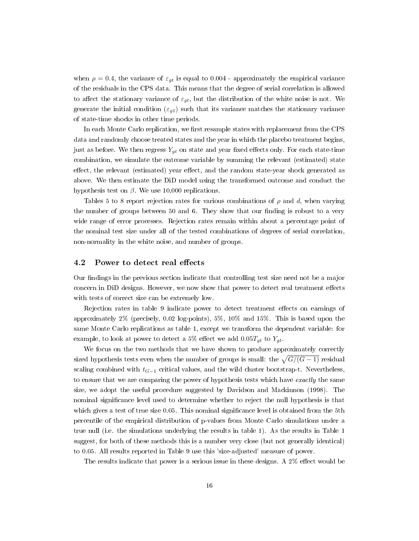when  $\rho = 0.4$ , the variance of  $\varepsilon_{gt}$  is equal to 0.004 - approximately the empirical variance of the residuals in the CPS data. This means that the degree of serial correlation is allowed to affect the stationary variance of  $\varepsilon_{qt}$ , but the distribution of the white noise is not. We generate the initial condition  $(\varepsilon_{q1})$  such that its variance matches the stationary variance of state-time shocks in other time periods.

In each Monte Carlo replication, we first resample states with replacement from the CPS data and randomly choose treated states and the year in which the placebo treatment begins, just as before. We then regress  $Y_{gt}$  on state and year fixed effects only. For each state-time combination, we simulate the outcome variable by summing the relevant (estimated) state effect, the relevant (estimated) year effect, and the random state-year shock generated as above. We then estimate the DiD model using the transformed outcome and conduct the hypothesis test on  $\beta$ . We use 10,000 replications.

Tables 5 to 8 report rejection rates for various combinations of  $\rho$  and d, when varying the number of groups between 50 and 6. They show that our finding is robust to a very wide range of error processes. Rejection rates remain within about a percentage point of the nominal test size under all of the tested combinations of degrees of serial correlation, non-normality in the white noise, and number of groups.

### 4.2 Power to detect real effects

Our findings in the previous section indicate that controlling test size need not be a major concern in DiD designs. However, we now show that power to detect real treatment effects with tests of correct size can be extremely low.

Rejection rates in table 9 indicate power to detect treatment effects on earnings of approximately 2% (precisely, 0.02 log-points), 5%, 10% and 15%. This is based upon the same Monte Carlo replications as table 1, except we transform the dependent variable: for example, to look at power to detect a 5% effect we add  $0.05T_{gt}$  to  $Y_{gt}$ .

We focus on the two methods that we have shown to produce approximately correctly sized hypothesis tests even when the number of groups is small: the  $\sqrt{G/(G-1)}$  residual scaling combined with  $t_{G-1}$  critical values, and the wild cluster bootstrap-t. Nevertheless, to ensure that we are comparing the power of hypothesis tests which have *exactly* the same size, we adopt the useful procedure suggested by Davidson and Mackinnon (1998). The nominal signicance level used to determine whether to reject the null hypothesis is that which gives a test of true size 0.05. This nominal significance level is obtained from the 5th percentile of the empirical distribution of p-values from Monte Carlo simulations under a true null (i.e. the simulations underlying the results in table 1). As the results in Table 1 suggest, for both of these methods this is a number very close (but not generally identical) to 0.05. All results reported in Table 9 use this 'size-adjusted' measure of power.

The results indicate that power is a serious issue in these designs. A  $2\%$  effect would be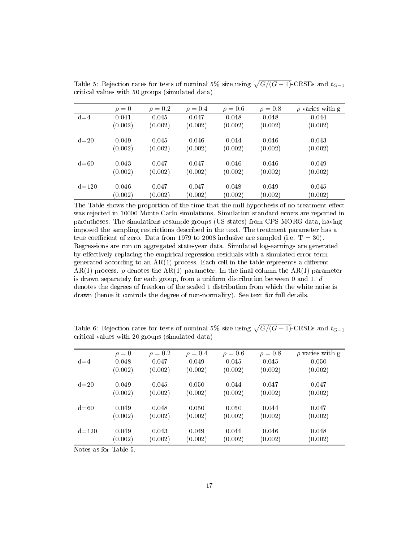|          | $\rho = 0$ | $\rho = 0.2$ | $\rho = 0.4$ | $\rho = 0.6$ | $\rho = 0.8$ | $\rho$ varies with g |
|----------|------------|--------------|--------------|--------------|--------------|----------------------|
| $d = 4$  | 0.041      | 0.045        | 0.047        | 0.048        | 0.048        | 0.044                |
|          | (0.002)    | (0.002)      | (0.002)      | (0.002)      | (0.002)      | (0.002)              |
| $d=20$   | 0.049      | 0.045        | 0.046        | 0.044        | 0.046        | 0.043                |
|          | (0.002)    | (0.002)      | (0.002)      | (0.002)      | (0.002)      | (0.002)              |
| $d = 60$ | 0.043      | 0.047        | 0.047        | 0.046        | 0.046        | 0.049                |
|          | (0.002)    | (0.002)      | (0.002)      | (0.002)      | (0.002)      | (0.002)              |
| $d$ =120 | 0.046      | 0.047        | 0.047        | 0.048        | 0.049        | 0.045                |
|          | (0.002)    | (0.002)      | (0.002)      | (0.002)      | (0.002)      | (0.002)              |

Table 5: Rejection rates for tests of nominal 5% size using  $\sqrt{G/(G-1)}$ -CRSEs and  $t_{G-1}$ critical values with 50 groups (simulated data)

The Table shows the proportion of the time that the null hypothesis of no treatment effect was rejected in 10000 Monte Carlo simulations. Simulation standard errors are reported in parentheses. The simulations resample groups (US states) from CPS-MORG data, having imposed the sampling restrictions described in the text. The treatment parameter has a true coefficient of zero. Data from 1979 to 2008 inclusive are sampled (i.e.  $T = 30$ ). Regressions are run on aggregated state-year data. Simulated log-earnings are generated by effectively replacing the empirical regression residuals with a simulated error term generated according to an  $AR(1)$  process. Each cell in the table represents a different AR(1) process.  $\rho$  denotes the AR(1) parameter. In the final column the AR(1) parameter is drawn separately for each group, from a uniform distribution between 0 and 1. d denotes the degrees of freedom of the scaled t distribution from which the white noise is drawn (hence it controls the degree of non-normality). See text for full details.

Table 6: Rejection rates for tests of nominal 5% size using  $\sqrt{G/(G-1)}$ -CRSEs and  $t_{G-1}$ critical values with 20 groups (simulated data)

|          | $\rho = 0$ | $\rho = 0.2$ | $\rho = 0.4$ | $\rho = 0.6$ | $\rho = 0.8$ | $\rho$ varies with g |
|----------|------------|--------------|--------------|--------------|--------------|----------------------|
| $d = 4$  | 0.048      | 0.047        | 0.049        | 0.045        | 0.045        | 0.050                |
|          | (0.002)    | (0.002)      | (0.002)      | (0.002)      | (0.002)      | (0.002)              |
| $d=20$   | 0.049      | 0.045        | 0.050        | 0.044        | 0.047        | 0.047                |
|          | (0.002)    | (0.002)      | (0.002)      | (0.002)      | (0.002)      | (0.002)              |
|          |            |              |              |              |              |                      |
| $d = 60$ | 0.049      | 0.048        | 0.050        | 0.050        | 0.044        | 0.047                |
|          | (0.002)    | (0.002)      | (0.002)      | (0.002)      | (0.002)      | (0.002)              |
|          |            |              |              |              |              |                      |
| $d$ =120 | 0.049      | 0.043        | 0.049        | 0.044        | 0.046        | 0.048                |
|          | (0.002)    | (0.002)      | (0.002)      | (0.002)      | (0.002)      | (0.002)              |
|          |            |              |              |              |              |                      |

Notes as for Table 5.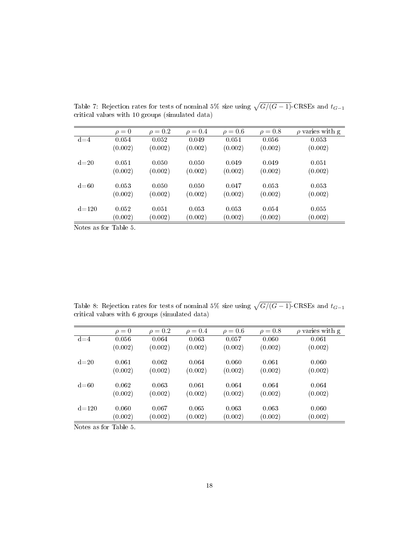|           | $\rho=0$ | $\rho = 0.2$ | $\rho = 0.4$ | $\rho = 0.6$ | $\rho = 0.8$ | $\rho$ varies with g |
|-----------|----------|--------------|--------------|--------------|--------------|----------------------|
| $d = 4$   | 0.054    | 0.052        | 0.049        | 0.051        | 0.056        | 0.053                |
|           | (0.002)  | (0.002)      | (0.002)      | (0.002)      | (0.002)      | (0.002)              |
| $d=20$    | 0.051    | 0.050        | 0.050        | 0.049        | 0.049        | 0.051                |
|           | (0.002)  | (0.002)      | (0.002)      | (0.002)      | (0.002)      | (0.002)              |
| $d = 60$  | 0.053    | 0.050        | 0.050        | 0.047        | 0.053        | 0.053                |
|           | (0.002)  | (0.002)      | (0.002)      | (0.002)      | (0.002)      | (0.002)              |
| $d = 120$ | 0.052    | 0.051        | 0.053        | 0.053        | 0.054        | 0.055                |
|           | (0.002)  | (0.002)      | (0.002)      | (0.002)      | (0.002)      | (0.002)              |

Table 7: Rejection rates for tests of nominal 5% size using  $\sqrt{G/(G-1)}$ -CRSEs and  $t_{G-1}$ critical values with 10 groups (simulated data)

Notes as for Table 5.

Table 8: Rejection rates for tests of nominal 5% size using  $\sqrt{G/(G-1)}$ -CRSEs and  $t_{G-1}$ critical values with 6 groups (simulated data)

|          | $\rho = 0$ | $\rho = 0.2$ | $\rho = 0.4$ | $\rho = 0.6$ | $\rho = 0.8$ | $\rho$ varies with g |
|----------|------------|--------------|--------------|--------------|--------------|----------------------|
| $d = 4$  | 0.056      | 0.064        | 0.063        | 0.057        | 0.060        | 0.061                |
|          | (0.002)    | (0.002)      | (0.002)      | (0.002)      | (0.002)      | (0.002)              |
| $d=20$   | 0.061      | 0.062        | 0.064        | 0.060        | 0.061        | 0.060                |
|          | (0.002)    | (0.002)      | (0.002)      | (0.002)      | (0.002)      | (0.002)              |
| $d = 60$ | 0.062      | 0.063        | 0.061        | 0.064        | 0.064        | 0.064                |
|          | (0.002)    | (0.002)      | (0.002)      | (0.002)      | (0.002)      | (0.002)              |
| $d$ =120 | 0.060      | 0.067        | 0.065        | 0.063        | 0.063        | 0.060                |
|          | (0.002)    | (0.002)      | (0.002)      | (0.002)      | (0.002)      | (0.002)              |

Notes as for Table 5.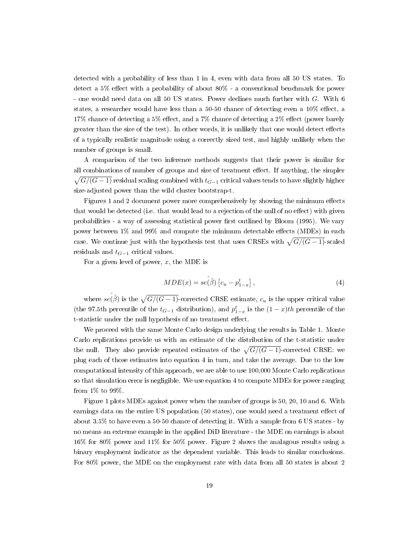detected with a probability of less than 1 in 4, even with data from all 50 US states. To detect a  $5\%$  effect with a probability of about  $80\%$  - a conventional benchmark for power - one would need data on all 50 US states. Power declines much further with G. With 6 states, a researcher would have less than a  $50-50$  chance of detecting even a  $10\%$  effect, a  $17\%$  chance of detecting a 5% effect, and a 7% chance of detecting a 2% effect (power barely greater than the size of the test). In other words, it is unlikely that one would detect effects of a typically realistic magnitude using a correctly sized test, and highly unlikely when the number of groups is small.

A comparison of the two inference methods suggests that their power is similar for all combinations of number of groups and size of treatment effect. If anything, the simpler  $\sqrt{G/(G-1)}$  residual scaling combined with  $t_{G-1}$  critical values tends to have slightly higher size-adjusted power than the wild cluster bootstrap-t.

Figures 1 and 2 document power more comprehensively by showing the minimum effects that would be detected (i.e. that would lead to a rejection of the null of no effect) with given probabilities - a way of assessing statistical power first outlined by Bloom (1995). We vary power between  $1\%$  and  $99\%$  and compute the minimum detectable effects (MDEs) in each case. We continue just with the hypothesis test that uses CRSEs with  $\sqrt{G/(G-1)}$ -scaled residuals and  $t_{G-1}$  critical values.

For a given level of power,  $x$ , the MDE is

$$
MDE(x) = se(\hat{\beta}) [c_u - p_{1-x}^t], \qquad (4)
$$

where  $se(\hat{\beta})$  is the  $\sqrt{G/(G-1)}$ -corrected CRSE estimate,  $c_u$  is the upper critical value (the 97.5th percentile of the  $t_{G-1}$  distribution), and  $p_{1-x}^t$  is the  $(1-x)th$  percentile of the t-statistic under the null hypothesis of no treatment effect.

We proceed with the same Monte Carlo design underlying the results in Table 1. Monte Carlo replications provide us with an estimate of the distribution of the t-statistic under the null. They also provide repeated estimates of the  $\sqrt{G/(G-1)}$ -corrected CRSE: we plug each of those estimates into equation 4 in turn, and take the average. Due to the low computational intensity of this approach, we are able to use 100,000 Monte Carlo replications so that simulation error is negligible. We use equation 4 to compute MDEs for power ranging from 1% to 99%.

Figure 1 plots MDEs against power when the number of groups is 50, 20, 10 and 6. With earnings data on the entire US population (50 states), one would need a treatment effect of about 3.5% to have even a 50-50 chance of detecting it. With a sample from 6 US states - by no means an extreme example in the applied DiD literature - the MDE on earnings is about 16% for 80% power and 11% for 50% power. Figure 2 shows the analagous results using a binary employment indicator as the dependent variable. This leads to similar conclusions. For 80% power, the MDE on the employment rate with data from all 50 states is about 2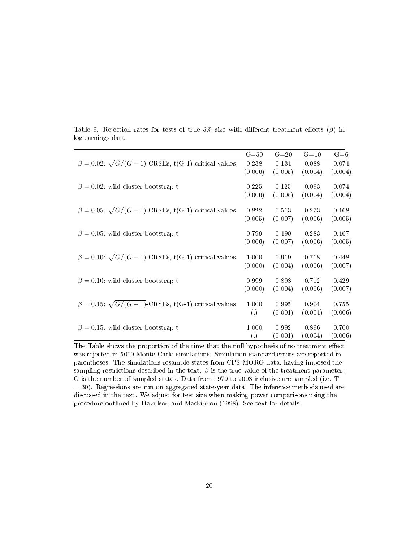|                                                                  | $G = 50$             | $G=20$  | $G=10$  | $G = 6$ |
|------------------------------------------------------------------|----------------------|---------|---------|---------|
| $\beta = 0.02$ : $\sqrt{G/(G-1)}$ -CRSEs, t(G-1) critical values | 0.238                | 0.134   | 0.088   | 0.074   |
|                                                                  | (0.006)              | (0.005) | (0.004) | (0.004) |
|                                                                  |                      |         |         |         |
| $\beta = 0.02$ wild cluster bootstrap-t                          | 0.225                | 0.125   | 0.093   | 0.074   |
|                                                                  | (0.006)              | (0.005) | (0.004) | (0.004) |
| $\beta = 0.05$ : $\sqrt{G/(G-1)}$ -CRSEs, t(G-1) critical values | 0.822                | 0.513   | 0.273   | 0.168   |
|                                                                  |                      |         |         |         |
|                                                                  | (0.005)              | (0.007) | (0.006) | (0.005) |
| $\beta = 0.05$ : wild cluster bootstrap-t                        | 0.799                | 0.490   | 0.283   | 0.167   |
|                                                                  | (0.006)              | (0.007) | (0.006) | (0.005) |
|                                                                  |                      |         |         |         |
| $\beta = 0.10$ : $\sqrt{G/(G-1)}$ -CRSEs, t(G-1) critical values | 1.000                | 0.919   | 0.718   | 0.448   |
|                                                                  | (0.000)              | (0.004) | (0.006) | (0.007) |
|                                                                  |                      |         |         |         |
| $\beta = 0.10$ : wild cluster bootstrap-t                        | 0.999                | 0.898   | 0.712   | 0.429   |
|                                                                  | (0.000)              | (0.004) | (0.006) | (0.007) |
|                                                                  |                      |         |         |         |
| $\beta = 0.15$ : $\sqrt{G/(G-1)}$ -CRSEs, t(G-1) critical values | 1.000                | 0.995   | 0.904   | 0.755   |
|                                                                  | $\left( .\right)$    | (0.001) | (0.004) | (0.006) |
| $\beta = 0.15$ : wild cluster bootstrap-t                        | 1.000                | 0.992   | 0.896   | 0.700   |
|                                                                  |                      | (0.001) | (0.004) | (0.006) |
|                                                                  | $\left(\cdot\right)$ |         |         |         |

Table 9: Rejection rates for tests of true 5% size with different treatment effects  $(\beta)$  in log-earnings data

The Table shows the proportion of the time that the null hypothesis of no treatment effect was rejected in 5000 Monte Carlo simulations. Simulation standard errors are reported in parentheses. The simulations resample states from CPS-MORG data, having imposed the sampling restrictions described in the text.  $\beta$  is the true value of the treatment parameter. G is the number of sampled states. Data from 1979 to 2008 inclusive are sampled (i.e. T = 30). Regressions are run on aggregated state-year data. The inference methods used are discussed in the text. We adjust for test size when making power comparisons using the procedure outlined by Davidson and Mackinnon (1998). See text for details.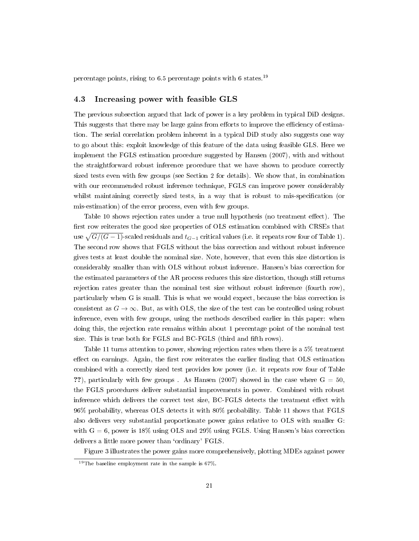percentage points, rising to 6.5 percentage points with 6 states. $19$ 

### 4.3 Increasing power with feasible GLS

The previous subsection argued that lack of power is a key problem in typical DiD designs. This suggests that there may be large gains from efforts to improve the efficiency of estimation. The serial correlation problem inherent in a typical DiD study also suggests one way to go about this: exploit knowledge of this feature of the data using feasible GLS. Here we implement the FGLS estimation procedure suggested by Hansen (2007), with and without the straightforward robust inference procedure that we have shown to produce correctly sized tests even with few groups (see Section 2 for details). We show that, in combination with our recommended robust inference technique, FGLS can improve power considerably whilst maintaining correctly sized tests, in a way that is robust to mis-specification (or mis-estimation) of the error process, even with few groups.

Table 10 shows rejection rates under a true null hypothesis (no treatment effect). The first row reiterates the good size properties of OLS estimation combined with CRSEs that use  $\sqrt{G/(G-1)}$ -scaled residuals and  $t_{G-1}$  critical values (i.e. it repeats row four of Table 1). The second row shows that FGLS without the bias correction and without robust inference gives tests at least double the nominal size. Note, however, that even this size distortion is considerably smaller than with OLS without robust inference. Hansen's bias correction for the estimated parameters of the AR process reduces this size distortion, though still returns rejection rates greater than the nominal test size without robust inference (fourth row), particularly when G is small. This is what we would expect, because the bias correction is consistent as  $G \to \infty$ . But, as with OLS, the size of the test can be controlled using robust inference, even with few groups, using the methods described earlier in this paper: when doing this, the rejection rate remains within about 1 percentage point of the nominal test size. This is true both for FGLS and BC-FGLS (third and fifth rows).

Table 11 turns attention to power, showing rejection rates when there is a 5% treatment effect on earnings. Again, the first row reiterates the earlier finding that OLS estimation combined with a correctly sized test provides low power (i.e. it repeats row four of Table ??), particularly with few groups . As Hansen (2007) showed in the case where  $G = 50$ , the FGLS procedures deliver substantial improvements in power. Combined with robust inference which delivers the correct test size, BC-FGLS detects the treatment effect with 96% probability, whereas OLS detects it with 80% probability. Table 11 shows that FGLS also delivers very substantial proportionate power gains relative to OLS with smaller G: with  $G = 6$ , power is 18% using OLS and 29% using FGLS. Using Hansen's bias correction delivers a little more power than 'ordinary' FGLS.

Figure 3 illustrates the power gains more comprehensively, plotting MDEs against power

 $19$ The baseline employment rate in the sample is 67%.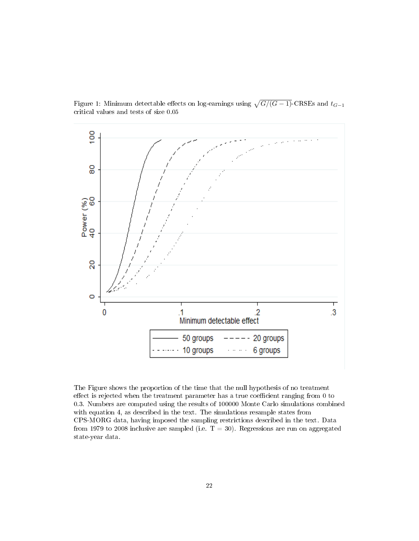

Figure 1: Minimum detectable effects on log-earnings using  $\sqrt{G/(G-1)}$ -CRSEs and  $t_{G-1}$ critical values and tests of size 0.05

The Figure shows the proportion of the time that the null hypothesis of no treatment effect is rejected when the treatment parameter has a true coefficient ranging from  $0$  to 0.3. Numbers are computed using the results of 100000 Monte Carlo simulations combined with equation 4, as described in the text. The simulations resample states from CPS-MORG data, having imposed the sampling restrictions described in the text. Data from 1979 to 2008 inclusive are sampled (i.e.  $T = 30$ ). Regressions are run on aggregated state-year data.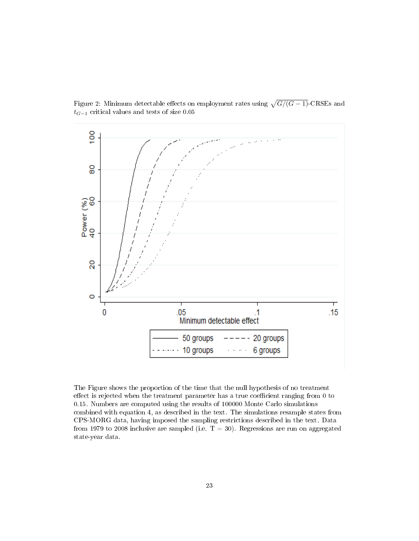

Figure 2: Minimum detectable effects on employment rates using  $\sqrt{G/(G-1)}$ -CRSEs and  $t_{G-1}$  critical values and tests of size  $0.05\,$ 

The Figure shows the proportion of the time that the null hypothesis of no treatment effect is rejected when the treatment parameter has a true coefficient ranging from  $0$  to 0.15. Numbers are computed using the results of 100000 Monte Carlo simulations combined with equation 4, as described in the text. The simulations resample states from CPS-MORG data, having imposed the sampling restrictions described in the text. Data from 1979 to 2008 inclusive are sampled (i.e.  $T = 30$ ). Regressions are run on aggregated state-year data.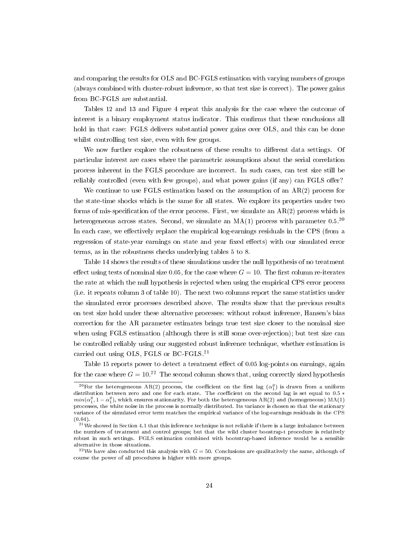and comparing the results for OLS and BC-FGLS estimation with varying numbers of groups (always combined with cluster-robust inference, so that test size is correct). The power gains from BC-FGLS are substantial.

Tables 12 and 13 and Figure 4 repeat this analysis for the case where the outcome of interest is a binary employment status indicator. This confirms that these conclusions all hold in that case: FGLS delivers substantial power gains over OLS, and this can be done whilst controlling test size, even with few groups.

We now further explore the robustness of these results to different data settings. Of particular interest are cases where the parametric assumptions about the serial correlation process inherent in the FGLS procedure are incorrect. In such cases, can test size still be reliably controlled (even with few groups), and what power gains (if any) can FGLS offer?

We continue to use  $FGLS$  estimation based on the assumption of an  $AR(2)$  process for the state-time shocks which is the same for all states. We explore its properties under two forms of mis-specification of the error process. First, we simulate an  $AR(2)$  process which is heterogeneous across states. Second, we simulate an  $MA(1)$  process with parameter  $0.5^{20}$ In each case, we effectively replace the empirical log-earnings residuals in the CPS (from a regression of state-year earnings on state and year fixed effects) with our simulated error terms, as in the robustness checks underlying tables 5 to 8.

Table 14 shows the results of these simulations under the null hypothesis of no treatment effect using tests of nominal size 0.05, for the case where  $G = 10$ . The first column re-iterates the rate at which the null hypothesis is rejected when using the empirical CPS error process (i.e. it repeats column 3 of table 10). The next two columns report the same statistics under the simulated error processes described above. The results show that the previous results on test size hold under these alternative processes: without robust inference, Hansen's bias correction for the AR parameter estimates brings true test size closer to the nominal size when using FGLS estimation (although there is still some over-rejection); but test size can be controlled reliably using our suggested robust inference technique, whether estimation is carried out using OLS, FGLS or BC-FGLS.<sup>21</sup>

Table 15 reports power to detect a treatment effect of 0.05 log-points on earnings, again for the case where  $G = 10^{22}$  The second column shows that, using correctly sized hypothesis

 $^{20}\rm{For}$  the heterogeneous AR(2) process, the coefficient on the first lag  $(\alpha_1^g)$  is drawn from a uniform distribution between zero and one for each state. The coefficient on the second lag is set equal to  $0.5 *$  $min(\alpha_1^g, 1 - \alpha_1^g)$ , which ensures stationarity. For both the heterogeneous AR(2) and (homogeneous) MA(1) processes, the white noise in the process is normally distributed. Its variance is chosen so that the stationary variance of the simulated error term matches the empirical variance of the log-earnings residuals in the CPS  $(0.04).$ 

<sup>&</sup>lt;sup>21</sup>We showed in Section 4.1 that this inference technique is not reliable if there is a large imbalance between the numbers of treatment and control groups; but that the wild cluster boostrap-t procedure is relatively robust in such settings. FGLS estimation combined with bootstrap-based inference would be a sensible alternative in those situations.

<sup>&</sup>lt;sup>22</sup>We have also conducted this analysis with  $G = 50$ . Conclusions are qualitatively the same, although of course the power of all procedures is higher with more groups.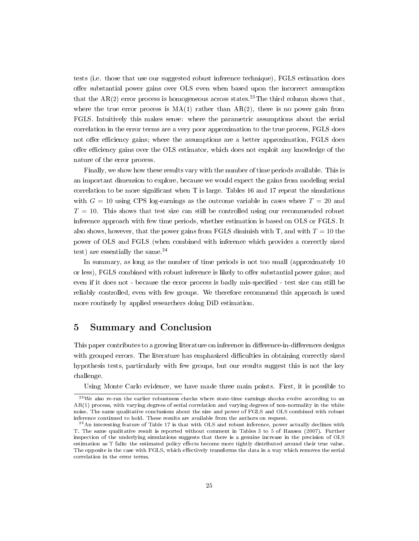tests (i.e. those that use our suggested robust inference technique), FGLS estimation does offer substantial power gains over OLS even when based upon the incorrect assumption that the  $AR(2)$  error process is homogeneous across states.<sup>23</sup>The third column shows that, where the true error process is  $MA(1)$  rather than  $AR(2)$ , there is no power gain from FGLS. Intuitively this makes sense: where the parametric assumptions about the serial correlation in the error terms are a very poor approximation to the true process, FGLS does not offer efficiency gains; where the assumptions are a better approximation, FGLS does offer efficiency gains over the OLS estimator, which does not exploit any knowledge of the nature of the error process.

Finally, we show how these results vary with the number of time periods available. This is an important dimension to explore, because we would expect the gains from modeling serial correlation to be more significant when  $T$  is large. Tables 16 and 17 repeat the simulations with  $G = 10$  using CPS log-earnings as the outcome variable in cases where  $T = 20$  and  $T = 10$ . This shows that test size can still be controlled using our recommended robust inference approach with few time periods, whether estimation is based on OLS or FGLS. It also shows, however, that the power gains from FGLS diminish with T, and with  $T = 10$  the power of OLS and FGLS (when combined with inference which provides a correctly sized test) are essentially the same. $^{24}$ 

In summary, as long as the number of time periods is not too small (approximately 10 or less), FGLS combined with robust inference is likely to offer substantial power gains; and even if it does not - because the error process is badly mis-specified - test size can still be reliably controlled, even with few groups. We therefore recommend this approach is used more routinely by applied researchers doing DiD estimation.

# 5 Summary and Conclusion

This paper contributes to a growing literature on inference in difference-in-differences designs with grouped errors. The literature has emphasized difficulties in obtaining correctly sized hypothesis tests, particularly with few groups, but our results suggest this is not the key challenge.

Using Monte Carlo evidence, we have made three main points. First, it is possible to

<sup>&</sup>lt;sup>23</sup>We also re-ran the earlier robustness checks where state-time earnings shocks evolve according to an AR(1) process, with varying degrees of serial correlation and varying degrees of non-normality in the white noise. The same qualitative conclusions about the size and power of FGLS and OLS combined with robust inference continued to hold. These results are available from the authors on request.

<sup>24</sup>An interesting feature of Table 17 is that with OLS and robust inference, power actually declines with T. The same qualitative result is reported without comment in Tables 3 to 5 of Hansen (2007). Further inspection of the underlying simulations suggests that there is a genuine increase in the precision of OLS estimation as T falls: the estimated policy effects become more tightly distributed around their true value. The opposite is the case with FGLS, which effectively transforms the data in a way which removes the serial correlation in the error terms.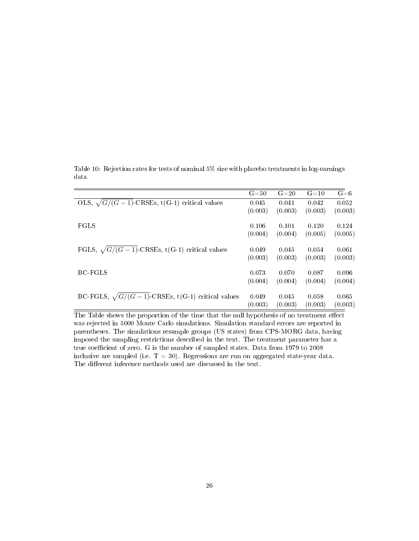|                                                          | $G = 50$ | $G=20$  | $G = 10$ | $G = 6$ |
|----------------------------------------------------------|----------|---------|----------|---------|
| OLS, $\sqrt{G/(G-1)}$ -CRSEs, t(G-1) critical values     | 0.045    | 0.041   | 0.042    | 0.052   |
|                                                          | (0.003)  | (0.003) | (0.003)  | (0.003) |
| <b>FGLS</b>                                              | 0.106    | 0.101   | 0.120    | 0.124   |
|                                                          | (0.004)  | (0.004) | (0.005)  | (0.005) |
| FGLS, $\sqrt{G/(G-1)}$ -CRSEs, t(G-1) critical values    | 0.049    | 0.045   | 0.054    | 0.061   |
|                                                          | (0.003)  | (0.003) | (0.003)  | (0.003) |
| BC-FGLS                                                  | 0.073    | 0.070   | 0.087    | 0.096   |
|                                                          | (0.004)  | (0.004) | (0.004)  | (0.004) |
| BC-FGLS, $\sqrt{G/(G-1)}$ -CRSEs, t(G-1) critical values | 0.049    | 0.045   | 0.058    | 0.065   |
|                                                          | (0.003)  | (0.003) | (0.003)  | (0.003) |

Table 10: Rejection rates for tests of nominal 5% size with placebo treatments in log-earnings data

The Table shows the proportion of the time that the null hypothesis of no treatment effect was rejected in 5000 Monte Carlo simulations. Simulation standard errors are reported in parentheses. The simulations resample groups (US states) from CPS-MORG data, having imposed the sampling restrictions described in the text. The treatment parameter has a true coefficient of zero. G is the number of sampled states. Data from 1979 to 2008 inclusive are sampled (i.e.  $T = 30$ ). Regressions are run on aggregated state-year data. The different inference methods used are discussed in the text.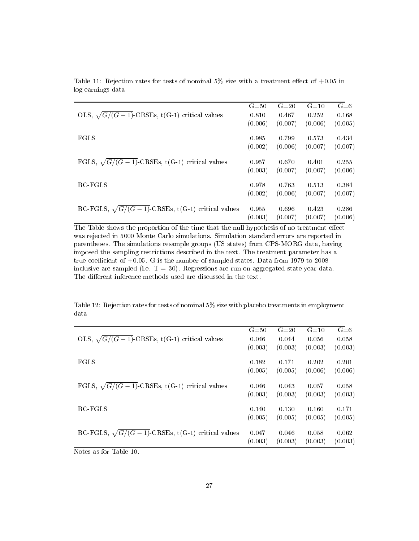|                                                          | $G = 50$ | $G = 20$ | $G = 10$ | $G = 6$ |
|----------------------------------------------------------|----------|----------|----------|---------|
| OLS, $\sqrt{G/(G-1)}$ -CRSEs, t(G-1) critical values     | 0.810    | 0.467    | 0.252    | 0.168   |
|                                                          | (0.006)  | (0.007)  | (0.006)  | (0.005) |
| <b>FGLS</b>                                              | 0.985    | 0.799    | 0.573    | 0.434   |
|                                                          | (0.002)  | (0.006)  | (0.007)  | (0.007) |
| FGLS, $\sqrt{G/(G-1)}$ -CRSEs, t(G-1) critical values    | 0.957    | 0.670    | 0.401    | 0.255   |
|                                                          | (0.003)  | (0.007)  | (0.007)  | (0.006) |
| <b>BC-FGLS</b>                                           | 0.978    | 0.763    | 0.513    | 0.384   |
|                                                          | (0.002)  | (0.006)  | (0.007)  | (0.007) |
| BC-FGLS, $\sqrt{G/(G-1)}$ -CRSEs, t(G-1) critical values | 0.955    | 0.696    | 0.423    | 0.286   |
|                                                          | (0.003)  | (0.007)  | (0.007)  | (0.006) |

Table 11: Rejection rates for tests of nominal  $5\%$  size with a treatment effect of  $+0.05$  in log-earnings data

The Table shows the proportion of the time that the null hypothesis of no treatment effect was rejected in 5000 Monte Carlo simulations. Simulation standard errors are reported in parentheses. The simulations resample groups (US states) from CPS-MORG data, having imposed the sampling restrictions described in the text. The treatment parameter has a true coefficient of  $+0.05$ . G is the number of sampled states. Data from 1979 to 2008 inclusive are sampled (i.e.  $T = 30$ ). Regressions are run on aggregated state-year data. The different inference methods used are discussed in the text.

Table 12: Rejection rates for tests of nominal 5% size with placebo treatments in employment data

|                                                          | $G = 50$ | $G=20$  | $G = 10$ | $G = 6$ |
|----------------------------------------------------------|----------|---------|----------|---------|
| OLS, $\sqrt{G/(G-1)}$ -CRSEs, t(G-1) critical values     | 0.046    | 0.044   | 0.056    | 0.058   |
|                                                          | (0.003)  | (0.003) | (0.003)  | (0.003) |
| <b>FGLS</b>                                              | 0.182    | 0.171   | 0.202    | 0.201   |
|                                                          | (0.005)  | (0.005) | (0.006)  | (0.006) |
| FGLS, $\sqrt{G/(G-1)}$ -CRSEs, t(G-1) critical values    | 0.046    | 0.043   | 0.057    | 0.058   |
|                                                          | (0.003)  | (0.003) | (0.003)  | (0.003) |
| BC-FGLS                                                  | 0.140    | 0.130   | 0.160    | 0.171   |
|                                                          | (0.005)  | (0.005) | (0.005)  | (0.005) |
| BC-FGLS, $\sqrt{G/(G-1)}$ -CRSEs, t(G-1) critical values | 0.047    | 0.046   | 0.058    | 0.062   |
|                                                          | (0.003)  | (0.003) | (0.003)  | (0.003) |
| $-11-40$                                                 |          |         |          |         |

Notes as for Table 10.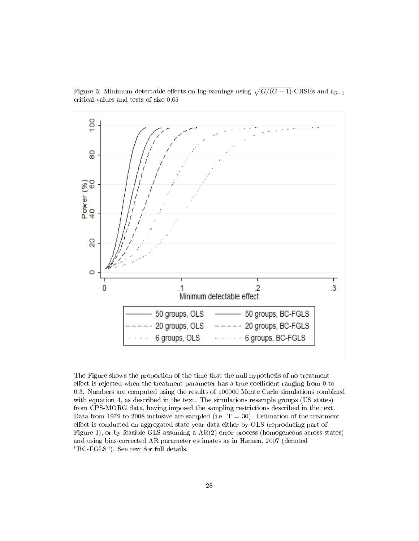

Figure 3: Minimum detectable effects on log-earnings using  $\sqrt{G/(G-1)}$ -CRSEs and  $t_{G-1}$ critical values and tests of size 0.05

The Figure shows the proportion of the time that the null hypothesis of no treatment effect is rejected when the treatment parameter has a true coefficient ranging from  $0$  to 0.3. Numbers are computed using the results of 100000 Monte Carlo simulations combined with equation 4, as described in the text. The simulations resample groups (US states) from CPS-MORG data, having imposed the sampling restrictions described in the text. Data from 1979 to 2008 inclusive are sampled (i.e.  $T = 30$ ). Estimation of the treatment effect is conducted on aggregated state-year data either by OLS (reproducing part of Figure 1), or by feasible GLS assuming a  $AR(2)$  error process (homogeneous across states) and using bias-corrected AR parameter estimates as in Hansen, 2007 (denoted "BC-FGLS"). See text for full details.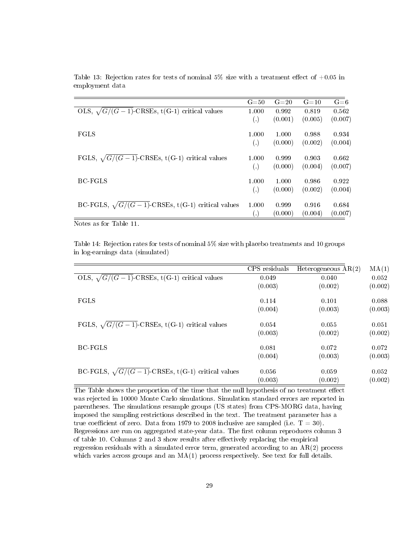| $G = 50$             | $G=20$  | $G = 10$ | $G = 6$ |
|----------------------|---------|----------|---------|
| 1.000                | 0.992   | 0.819    | 0.562   |
| $\left( .\right)$    | (0.001) | (0.005)  | (0.007) |
| 1.000                | 1.000   | 0.988    | 0.934   |
| $\left( .\right)$    | (0.000) | (0.002)  | (0.004) |
| 1.000                | 0.999   | 0.903    | 0.662   |
| $\left( .\right)$    | (0.000) | (0.004)  | (0.007) |
| 1.000                | 1.000   | 0.986    | 0.922   |
| $\left( .\right)$    | (0.000) | (0.002)  | (0.004) |
| 1.000                | 0.999   | 0.916    | 0.684   |
| $\left(\cdot\right)$ | (0.000) | (0.004)  | (0.007) |
|                      |         |          |         |

Table 13: Rejection rates for tests of nominal 5% size with a treatment effect of  $+0.05$  in employment data

Notes as for Table 11.

Table 14: Rejection rates for tests of nominal 5% size with placebo treatments and 10 groups in log-earnings data (simulated)

|                                                          | CPS residuals | Heterogeneous $AR(2)$ | MA(1)   |
|----------------------------------------------------------|---------------|-----------------------|---------|
| OLS, $\sqrt{G/(G-1)}$ -CRSEs, t(G-1) critical values     | 0.049         | 0.040                 | 0.052   |
|                                                          | (0.003)       | (0.002)               | (0.002) |
| <b>FGLS</b>                                              | 0.114         | 0.101                 | 0.088   |
|                                                          | (0.004)       | (0.003)               | (0.003) |
| FGLS, $\sqrt{G/(G-1)}$ -CRSEs, t(G-1) critical values    | 0.054         | 0.055                 | 0.051   |
|                                                          | (0.003)       | (0.002)               | (0.002) |
| BC-FGLS                                                  | 0.081         | 0.072                 | 0.072   |
|                                                          | (0.004)       | (0.003)               | (0.003) |
| BC-FGLS, $\sqrt{G/(G-1)}$ -CRSEs, t(G-1) critical values | 0.056         | 0.059                 | 0.052   |
|                                                          | (0.003)       | (0.002)               | (0.002) |

The Table shows the proportion of the time that the null hypothesis of no treatment effect was rejected in 10000 Monte Carlo simulations. Simulation standard errors are reported in parentheses. The simulations resample groups (US states) from CPS-MORG data, having imposed the sampling restrictions described in the text. The treatment parameter has a true coefficient of zero. Data from 1979 to 2008 inclusive are sampled (i.e.  $T = 30$ ). Regressions are run on aggregated state-year data. The first column reproduces column 3 of table 10. Columns 2 and 3 show results after effectively replacing the empirical regression residuals with a simulated error term, generated according to an AR(2) process which varies across groups and an  $MA(1)$  process respectively. See text for full details.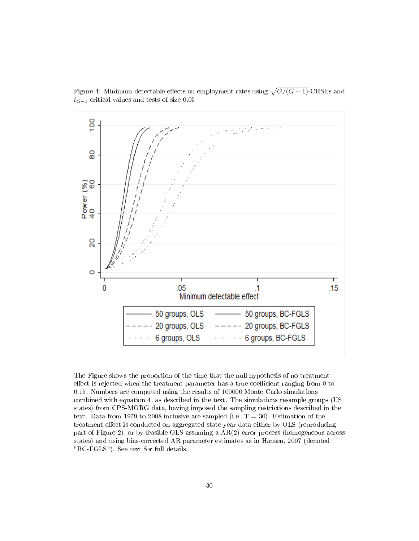

Figure 4: Minimum detectable effects on employment rates using  $\sqrt{G/(G-1)}$ -CRSEs and  $t_{G-1}$  critical values and tests of size 0.05

The Figure shows the proportion of the time that the null hypothesis of no treatment effect is rejected when the treatment parameter has a true coefficient ranging from  $0$  to 0.15. Numbers are computed using the results of 100000 Monte Carlo simulations combined with equation 4, as described in the text. The simulations resample groups (US states) from CPS-MORG data, having imposed the sampling restrictions described in the text. Data from 1979 to 2008 inclusive are sampled (i.e.  $T = 30$ ). Estimation of the treatment effect is conducted on aggregated state-year data either by OLS (reproducing part of Figure 2), or by feasible GLS assuming a AR(2) error process (homogeneous across states) and using bias-corrected AR parameter estimates as in Hansen, 2007 (denoted "BC-FGLS"). See text for full details.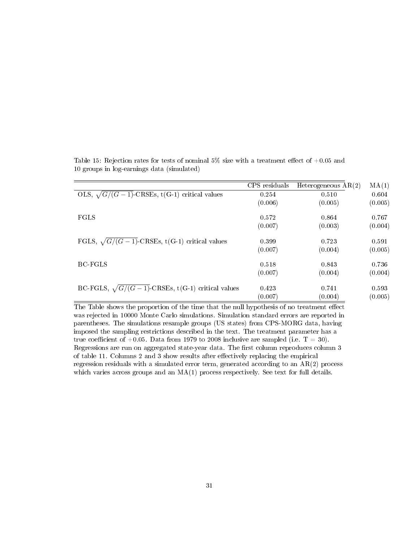|                                                          | CPS residuals | Heterogeneous $AR(2)$ | MA(1)   |
|----------------------------------------------------------|---------------|-----------------------|---------|
| OLS, $\sqrt{G/(G-1)}$ -CRSEs, t(G-1) critical values     | 0.254         | 0.510                 | 0.604   |
|                                                          | (0.006)       | (0.005)               | (0.005) |
| FGLS                                                     | 0.572         | 0.864                 | 0.767   |
|                                                          | (0.007)       | (0.003)               | (0.004) |
| FGLS, $\sqrt{G/(G-1)}$ -CRSEs, t(G-1) critical values    | 0.399         | 0.723                 | 0.591   |
|                                                          | (0.007)       | (0.004)               | (0.005) |
| <b>BC-FGLS</b>                                           | 0.518         | 0.843                 | 0.736   |
|                                                          | (0.007)       | (0.004)               | (0.004) |
| BC-FGLS, $\sqrt{G/(G-1)}$ -CRSEs, t(G-1) critical values | 0.423         | 0.741                 | 0.593   |
|                                                          | (0.007)       | (0.004)               | (0.005) |

Table 15: Rejection rates for tests of nominal 5% size with a treatment effect of  $+0.05$  and 10 groups in log-earnings data (simulated)

The Table shows the proportion of the time that the null hypothesis of no treatment effect was rejected in 10000 Monte Carlo simulations. Simulation standard errors are reported in parentheses. The simulations resample groups (US states) from CPS-MORG data, having imposed the sampling restrictions described in the text. The treatment parameter has a true coefficient of  $+0.05$ . Data from 1979 to 2008 inclusive are sampled (i.e. T = 30). Regressions are run on aggregated state-year data. The first column reproduces column 3 of table 11. Columns  $2$  and  $3$  show results after effectively replacing the empirical regression residuals with a simulated error term, generated according to an AR(2) process which varies across groups and an MA(1) process respectively. See text for full details.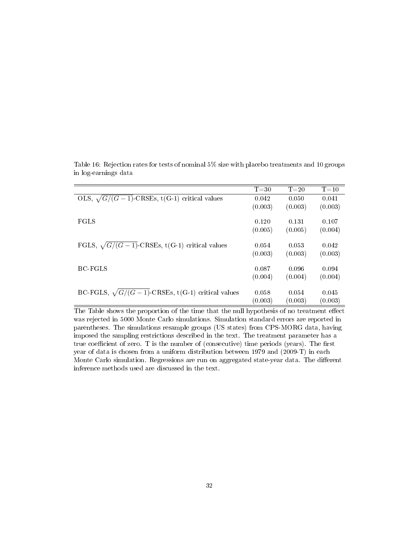|                                                          | $T = 30$ | $T = 20$ | $T = 10$ |
|----------------------------------------------------------|----------|----------|----------|
| OLS, $\sqrt{G/(G-1)}$ -CRSEs, t(G-1) critical values     | 0.042    | 0.050    | 0.041    |
|                                                          | (0.003)  | (0.003)  | (0.003)  |
|                                                          |          |          |          |
| <b>FGLS</b>                                              | 0.120    | 0.131    | 0.107    |
|                                                          | (0.005)  | (0.005)  | (0.004)  |
|                                                          |          |          |          |
| FGLS, $\sqrt{G/(G-1)}$ -CRSEs, t(G-1) critical values    | 0.054    | 0.053    | 0.042    |
|                                                          | (0.003)  | (0.003)  | (0.003)  |
|                                                          |          |          |          |
| <b>BC-FGLS</b>                                           | 0.087    | 0.096    | 0.094    |
|                                                          | (0.004)  | (0.004)  | (0.004)  |
|                                                          |          |          |          |
| BC-FGLS, $\sqrt{G/(G-1)}$ -CRSEs, t(G-1) critical values | 0.058    | 0.054    | 0.045    |
|                                                          | (0.003)  | (0.003)  | (0.003)  |

Table 16: Rejection rates for tests of nominal 5% size with placebo treatments and 10 groups in log-earnings data

The Table shows the proportion of the time that the null hypothesis of no treatment effect was rejected in 5000 Monte Carlo simulations. Simulation standard errors are reported in parentheses. The simulations resample groups (US states) from CPS-MORG data, having imposed the sampling restrictions described in the text. The treatment parameter has a true coefficient of zero. T is the number of (consecutive) time periods (years). The first year of data is chosen from a uniform distribution between 1979 and (2009-T) in each Monte Carlo simulation. Regressions are run on aggregated state-year data. The different inference methods used are discussed in the text.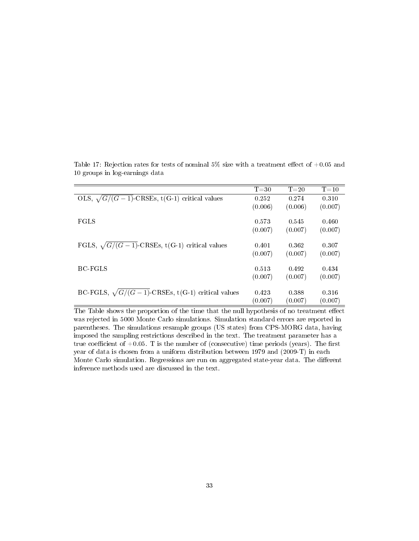|                                                          | $T = 30$ | $T = 20$ | $T = 10$ |
|----------------------------------------------------------|----------|----------|----------|
| OLS, $\sqrt{G/(G-1)}$ -CRSEs, t(G-1) critical values     | 0.252    | 0.274    | 0.310    |
|                                                          | (0.006)  | (0.006)  | (0.007)  |
|                                                          |          |          |          |
| <b>FGLS</b>                                              | 0.573    | 0.545    | 0.460    |
|                                                          | (0.007)  | (0.007)  | (0.007)  |
|                                                          |          |          |          |
| FGLS, $\sqrt{G/(G-1)}$ -CRSEs, t(G-1) critical values    | 0.401    | 0.362    | 0.307    |
|                                                          | (0.007)  | (0.007)  | (0.007)  |
|                                                          |          |          |          |
| BC-FGLS                                                  | 0.513    | 0.492    | 0.434    |
|                                                          | (0.007)  | (0.007)  | (0.007)  |
|                                                          |          |          |          |
| BC-FGLS, $\sqrt{G/(G-1)}$ -CRSEs, t(G-1) critical values | 0.423    | 0.388    | 0.316    |
|                                                          | (0.007)  | (0.007)  | (0.007)  |
|                                                          |          |          |          |

Table 17: Rejection rates for tests of nominal 5% size with a treatment effect of  $+0.05$  and 10 groups in log-earnings data

The Table shows the proportion of the time that the null hypothesis of no treatment effect was rejected in 5000 Monte Carlo simulations. Simulation standard errors are reported in parentheses. The simulations resample groups (US states) from CPS-MORG data, having imposed the sampling restrictions described in the text. The treatment parameter has a true coefficient of  $+0.05$ . T is the number of (consecutive) time periods (years). The first year of data is chosen from a uniform distribution between 1979 and (2009-T) in each Monte Carlo simulation. Regressions are run on aggregated state-year data. The different inference methods used are discussed in the text.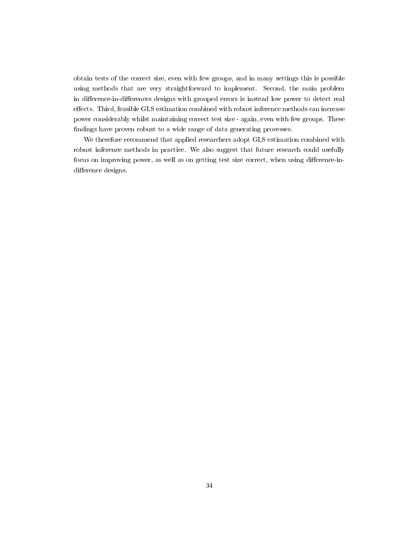obtain tests of the correct size, even with few groups, and in many settings this is possible using methods that are very straightforward to implement. Second, the main problem in difference-in-differences designs with grouped errors is instead low power to detect real effects. Third, feasible GLS estimation combined with robust inference methods can increase power considerably whilst maintaining correct test size - again, even with few groups. These ndings have proven robust to a wide range of data generating processes.

We therefore recommend that applied researchers adopt GLS estimation combined with robust inference methods in practice. We also suggest that future research could usefully focus on improving power, as well as on getting test size correct, when using difference-indifference designs.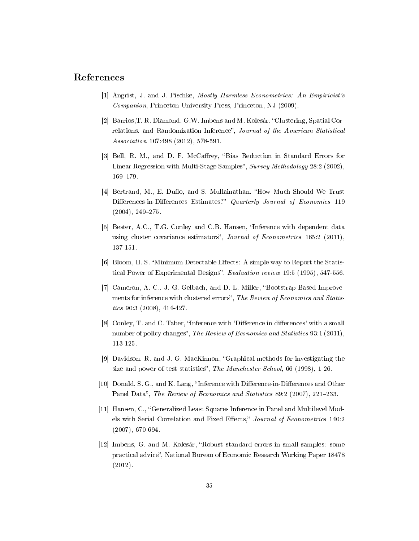## References

- [1] Angrist, J. and J. Pischke, Mostly Harmless Econometrics: An Empiricist's Companion, Princeton University Press, Princeton, NJ (2009).
- [2] Barrios, T. R. Diamond, G.W. Imbens and M. Kolesár, "Clustering, Spatial Correlations, and Randomization Inference", Journal of the American Statistical Association 107:498 (2012), 578-591.
- [3] Bell, R. M., and D. F. McCaffrey, "Bias Reduction in Standard Errors for Linear Regression with Multi-Stage Samples", Survey Methodology 28:2 (2002), 169-179.
- [4] Bertrand, M., E. Duflo, and S. Mullainathan, "How Much Should We Trust Differences-in-Differences Estimates?" Quarterly Journal of Economics 119  $(2004)$ , 249-275.
- [5] Bester, A.C., T.G. Conley and C.B. Hansen, "Inference with dependent data using cluster covariance estimators", Journal of Econometrics 165:2 (2011), 137-151.
- [6] Bloom, H. S. "Minimum Detectable Effects: A simple way to Report the Statistical Power of Experimental Designs", Evaluation review 19:5 (1995), 547-556.
- [7] Cameron, A. C., J. G. Gelbach, and D. L. Miller, "Bootstrap-Based Improvements for inference with clustered errors", The Review of Economics and Statistics 90:3 (2008), 414-427.
- [8] Conley, T. and C. Taber, "Inference with 'Difference in differences' with a small number of policy changes", The Review of Economics and Statistics 93:1 (2011), 113-125.
- [9] Davidson, R. and J. G. MacKinnon, Graphical methods for investigating the size and power of test statistics", The Manchester School, 66 (1998), 1-26.
- [10] Donald, S. G., and K. Lang, "Inference with Difference-in-Differences and Other Panel Data", The Review of Economics and Statistics 89:2 (2007), 221-233.
- [11] Hansen, C., Generalized Least Squares Inference in Panel and Multilevel Models with Serial Correlation and Fixed Effects," Journal of Econometrics 140:2 (2007), 670-694.
- [12] Imbens, G. and M. Kolesár, Robust standard errors in small samples: some practical advice", National Bureau of Economic Research Working Paper 18478 (2012).